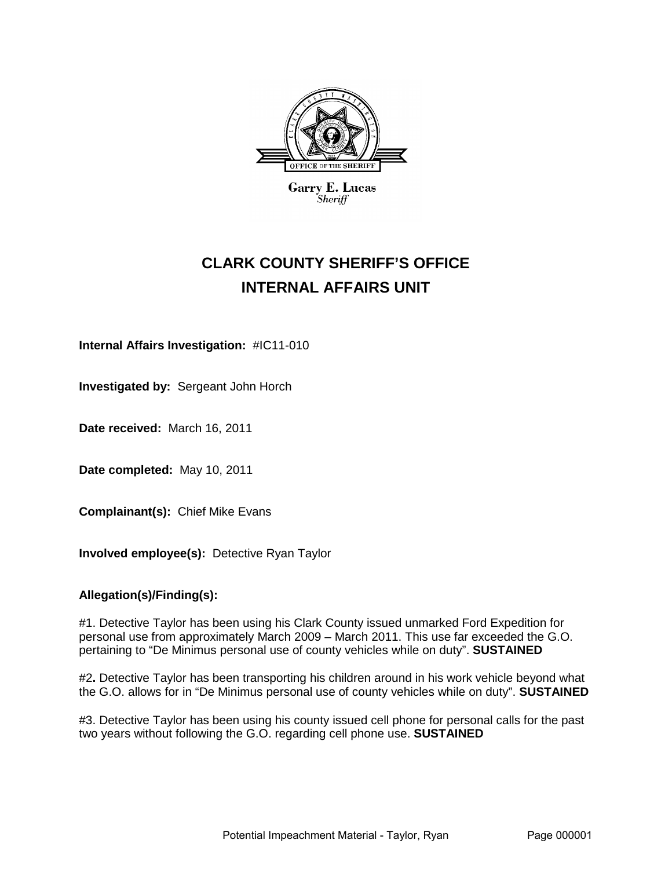

**Garry E. Lucas**  $\it_{Sheriff}$ 

# **CLARK COUNTY SHERIFF'S OFFICE INTERNAL AFFAIRS UNIT**

**Internal Affairs Investigation:** #IC11-010

**Investigated by:** Sergeant John Horch

**Date received:** March 16, 2011

**Date completed:** May 10, 2011

**Complainant(s):** Chief Mike Evans

**Involved employee(s):** Detective Ryan Taylor

# **Allegation(s)/Finding(s):**

#1. Detective Taylor has been using his Clark County issued unmarked Ford Expedition for personal use from approximately March 2009 – March 2011. This use far exceeded the G.O. pertaining to "De Minimus personal use of county vehicles while on duty". **SUSTAINED**

#2**.** Detective Taylor has been transporting his children around in his work vehicle beyond what the G.O. allows for in "De Minimus personal use of county vehicles while on duty". **SUSTAINED**

#3. Detective Taylor has been using his county issued cell phone for personal calls for the past two years without following the G.O. regarding cell phone use. **SUSTAINED**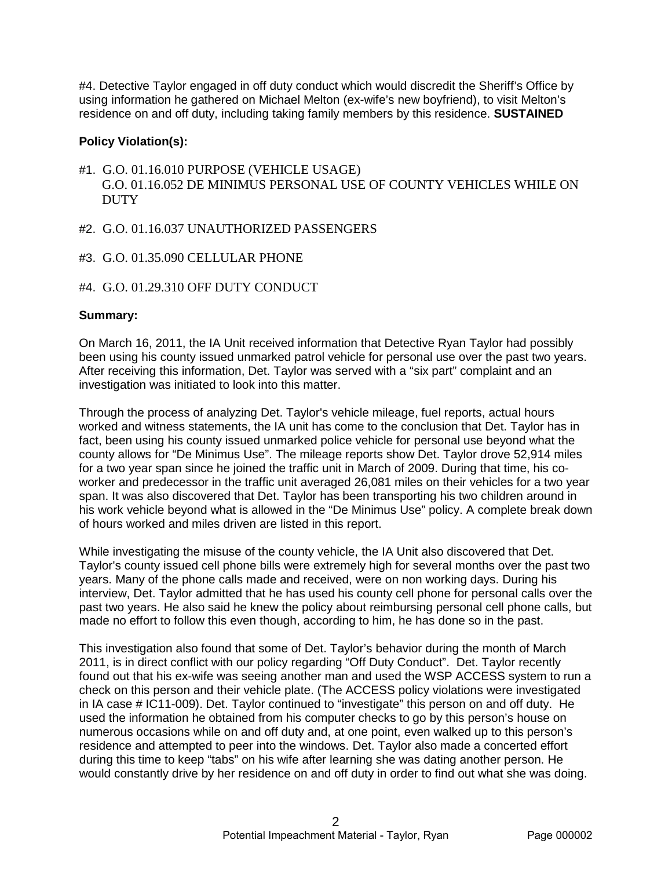#4. Detective Taylor engaged in off duty conduct which would discredit the Sheriff's Office by using information he gathered on Michael Melton (ex-wife's new boyfriend), to visit Melton's residence on and off duty, including taking family members by this residence. **SUSTAINED**

# **Policy Violation(s):**

- #1. G.O. 01.16.010 PURPOSE (VEHICLE USAGE) G.O. 01.16.052 DE MINIMUS PERSONAL USE OF COUNTY VEHICLES WHILE ON **DUTY**
- #2. G.O. 01.16.037 UNAUTHORIZED PASSENGERS
- #3. G.O. 01.35.090 CELLULAR PHONE
- #4. G.O. 01.29.310 OFF DUTY CONDUCT

# **Summary:**

On March 16, 2011, the IA Unit received information that Detective Ryan Taylor had possibly been using his county issued unmarked patrol vehicle for personal use over the past two years. After receiving this information, Det. Taylor was served with a "six part" complaint and an investigation was initiated to look into this matter.

Through the process of analyzing Det. Taylor's vehicle mileage, fuel reports, actual hours worked and witness statements, the IA unit has come to the conclusion that Det. Taylor has in fact, been using his county issued unmarked police vehicle for personal use beyond what the county allows for "De Minimus Use". The mileage reports show Det. Taylor drove 52,914 miles for a two year span since he joined the traffic unit in March of 2009. During that time, his coworker and predecessor in the traffic unit averaged 26,081 miles on their vehicles for a two year span. It was also discovered that Det. Taylor has been transporting his two children around in his work vehicle beyond what is allowed in the "De Minimus Use" policy. A complete break down of hours worked and miles driven are listed in this report.

While investigating the misuse of the county vehicle, the IA Unit also discovered that Det. Taylor's county issued cell phone bills were extremely high for several months over the past two years. Many of the phone calls made and received, were on non working days. During his interview, Det. Taylor admitted that he has used his county cell phone for personal calls over the past two years. He also said he knew the policy about reimbursing personal cell phone calls, but made no effort to follow this even though, according to him, he has done so in the past.

This investigation also found that some of Det. Taylor's behavior during the month of March 2011, is in direct conflict with our policy regarding "Off Duty Conduct". Det. Taylor recently found out that his ex-wife was seeing another man and used the WSP ACCESS system to run a check on this person and their vehicle plate. (The ACCESS policy violations were investigated in IA case # IC11-009). Det. Taylor continued to "investigate" this person on and off duty. He used the information he obtained from his computer checks to go by this person's house on numerous occasions while on and off duty and, at one point, even walked up to this person's residence and attempted to peer into the windows. Det. Taylor also made a concerted effort during this time to keep "tabs" on his wife after learning she was dating another person. He would constantly drive by her residence on and off duty in order to find out what she was doing.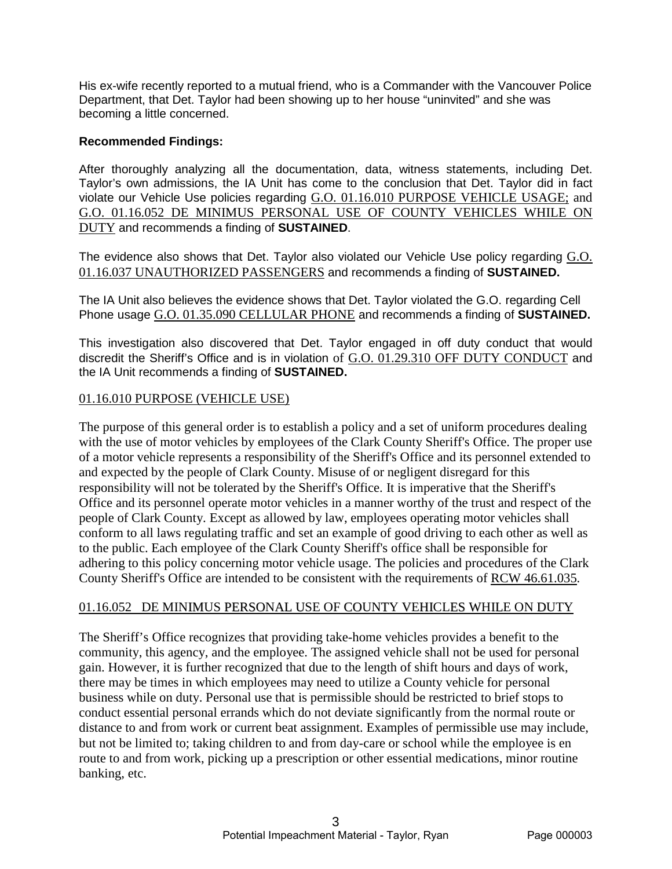His ex-wife recently reported to a mutual friend, who is a Commander with the Vancouver Police Department, that Det. Taylor had been showing up to her house "uninvited" and she was becoming a little concerned.

# **Recommended Findings:**

After thoroughly analyzing all the documentation, data, witness statements, including Det. Taylor's own admissions, the IA Unit has come to the conclusion that Det. Taylor did in fact violate our Vehicle Use policies regarding G.O. 01.16.010 PURPOSE VEHICLE USAGE; and G.O. 01.16.052 DE MINIMUS PERSONAL USE OF COUNTY VEHICLES WHILE ON DUTY and recommends a finding of **SUSTAINED**.

The evidence also shows that Det. Taylor also violated our Vehicle Use policy regarding G.O. 01.16.037 UNAUTHORIZED PASSENGERS and recommends a finding of **SUSTAINED.**

The IA Unit also believes the evidence shows that Det. Taylor violated the G.O. regarding Cell Phone usage G.O. 01.35.090 CELLULAR PHONE and recommends a finding of **SUSTAINED.**

This investigation also discovered that Det. Taylor engaged in off duty conduct that would discredit the Sheriff's Office and is in violation of G.O. 01.29.310 OFF DUTY CONDUCT and the IA Unit recommends a finding of **SUSTAINED.**

# 01.16.010 PURPOSE (VEHICLE USE)

The purpose of this general order is to establish a policy and a set of uniform procedures dealing with the use of motor vehicles by employees of the Clark County Sheriff's Office. The proper use of a motor vehicle represents a responsibility of the Sheriff's Office and its personnel extended to and expected by the people of Clark County. Misuse of or negligent disregard for this responsibility will not be tolerated by the Sheriff's Office. It is imperative that the Sheriff's Office and its personnel operate motor vehicles in a manner worthy of the trust and respect of the people of Clark County. Except as allowed by law, employees operating motor vehicles shall conform to all laws regulating traffic and set an example of good driving to each other as well as to the public. Each employee of the Clark County Sheriff's office shall be responsible for adhering to this policy concerning motor vehicle usage. The policies and procedures of the Clark County Sheriff's Office are intended to be consistent with the requirements of RCW 46.61.035.

# 01.16.052 DE MINIMUS PERSONAL USE OF COUNTY VEHICLES WHILE ON DUTY

The Sheriff's Office recognizes that providing take-home vehicles provides a benefit to the community, this agency, and the employee. The assigned vehicle shall not be used for personal gain. However, it is further recognized that due to the length of shift hours and days of work, there may be times in which employees may need to utilize a County vehicle for personal business while on duty. Personal use that is permissible should be restricted to brief stops to conduct essential personal errands which do not deviate significantly from the normal route or distance to and from work or current beat assignment. Examples of permissible use may include, but not be limited to; taking children to and from day-care or school while the employee is en route to and from work, picking up a prescription or other essential medications, minor routine banking, etc.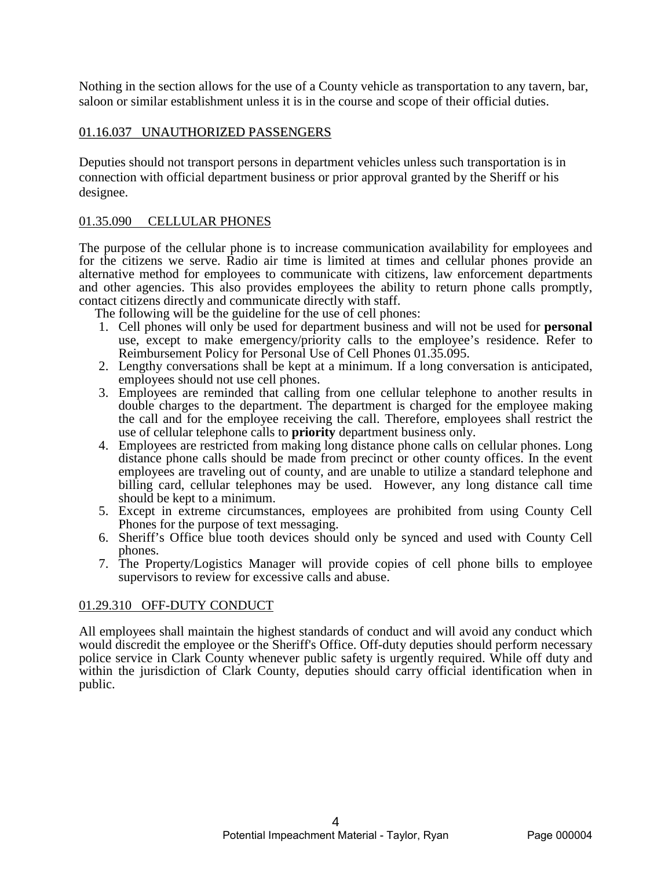Nothing in the section allows for the use of a County vehicle as transportation to any tavern, bar, saloon or similar establishment unless it is in the course and scope of their official duties.

# 01.16.037 UNAUTHORIZED PASSENGERS

Deputies should not transport persons in department vehicles unless such transportation is in connection with official department business or prior approval granted by the Sheriff or his designee.

# 01.35.090 CELLULAR PHONES

The purpose of the cellular phone is to increase communication availability for employees and for the citizens we serve. Radio air time is limited at times and cellular phones provide an alternative method for employees to communicate with citizens, law enforcement departments and other agencies. This also provides employees the ability to return phone calls promptly, contact citizens directly and communicate directly with staff.

The following will be the guideline for the use of cell phones:

- 1. Cell phones will only be used for department business and will not be used for **personal** use, except to make emergency/priority calls to the employee's residence. Refer to Reimbursement Policy for Personal Use of Cell Phones 01.35.095.
- 2. Lengthy conversations shall be kept at a minimum. If a long conversation is anticipated, employees should not use cell phones.
- 3. Employees are reminded that calling from one cellular telephone to another results in double charges to the department. The department is charged for the employee making the call and for the employee receiving the call. Therefore, employees shall restrict the use of cellular telephone calls to **priority** department business only.
- 4. Employees are restricted from making long distance phone calls on cellular phones. Long distance phone calls should be made from precinct or other county offices. In the event employees are traveling out of county, and are unable to utilize a standard telephone and billing card, cellular telephones may be used. However, any long distance call time should be kept to a minimum.
- 5. Except in extreme circumstances, employees are prohibited from using County Cell Phones for the purpose of text messaging.
- 6. Sheriff's Office blue tooth devices should only be synced and used with County Cell phones.
- 7. The Property/Logistics Manager will provide copies of cell phone bills to employee supervisors to review for excessive calls and abuse.

# 01.29.310 OFF-DUTY CONDUCT

All employees shall maintain the highest standards of conduct and will avoid any conduct which would discredit the employee or the Sheriff's Office. Off-duty deputies should perform necessary police service in Clark County whenever public safety is urgently required. While off duty and within the jurisdiction of Clark County, deputies should carry official identification when in public.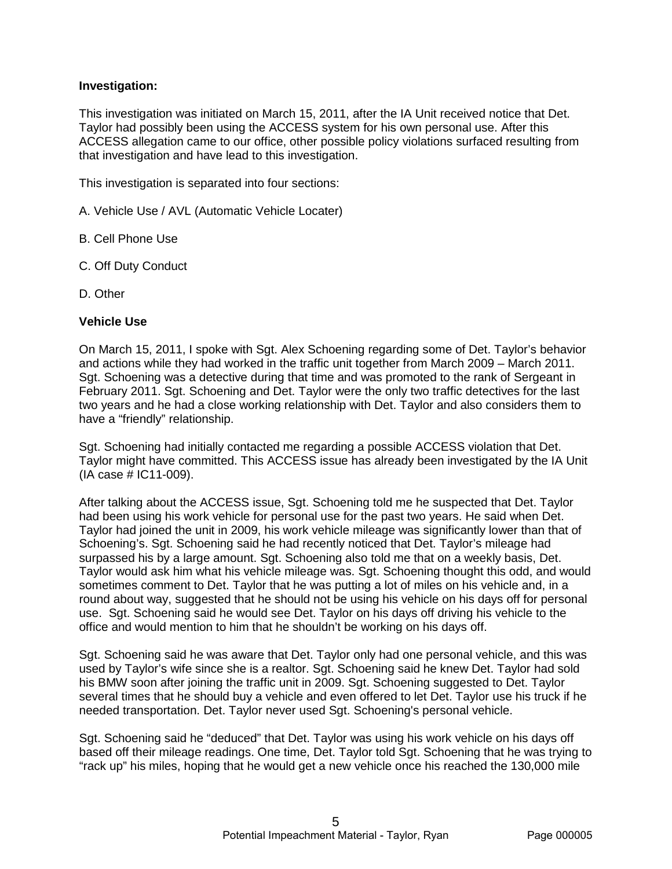# **Investigation:**

This investigation was initiated on March 15, 2011, after the IA Unit received notice that Det. Taylor had possibly been using the ACCESS system for his own personal use. After this ACCESS allegation came to our office, other possible policy violations surfaced resulting from that investigation and have lead to this investigation.

This investigation is separated into four sections:

- A. Vehicle Use / AVL (Automatic Vehicle Locater)
- B. Cell Phone Use
- C. Off Duty Conduct
- D. Other

#### **Vehicle Use**

On March 15, 2011, I spoke with Sgt. Alex Schoening regarding some of Det. Taylor's behavior and actions while they had worked in the traffic unit together from March 2009 – March 2011. Sgt. Schoening was a detective during that time and was promoted to the rank of Sergeant in February 2011. Sgt. Schoening and Det. Taylor were the only two traffic detectives for the last two years and he had a close working relationship with Det. Taylor and also considers them to have a "friendly" relationship.

Sgt. Schoening had initially contacted me regarding a possible ACCESS violation that Det. Taylor might have committed. This ACCESS issue has already been investigated by the IA Unit (IA case # IC11-009).

After talking about the ACCESS issue, Sgt. Schoening told me he suspected that Det. Taylor had been using his work vehicle for personal use for the past two years. He said when Det. Taylor had joined the unit in 2009, his work vehicle mileage was significantly lower than that of Schoening's. Sgt. Schoening said he had recently noticed that Det. Taylor's mileage had surpassed his by a large amount. Sgt. Schoening also told me that on a weekly basis, Det. Taylor would ask him what his vehicle mileage was. Sgt. Schoening thought this odd, and would sometimes comment to Det. Taylor that he was putting a lot of miles on his vehicle and, in a round about way, suggested that he should not be using his vehicle on his days off for personal use. Sgt. Schoening said he would see Det. Taylor on his days off driving his vehicle to the office and would mention to him that he shouldn't be working on his days off.

Sgt. Schoening said he was aware that Det. Taylor only had one personal vehicle, and this was used by Taylor's wife since she is a realtor. Sgt. Schoening said he knew Det. Taylor had sold his BMW soon after joining the traffic unit in 2009. Sgt. Schoening suggested to Det. Taylor several times that he should buy a vehicle and even offered to let Det. Taylor use his truck if he needed transportation. Det. Taylor never used Sgt. Schoening's personal vehicle.

Sgt. Schoening said he "deduced" that Det. Taylor was using his work vehicle on his days off based off their mileage readings. One time, Det. Taylor told Sgt. Schoening that he was trying to "rack up" his miles, hoping that he would get a new vehicle once his reached the 130,000 mile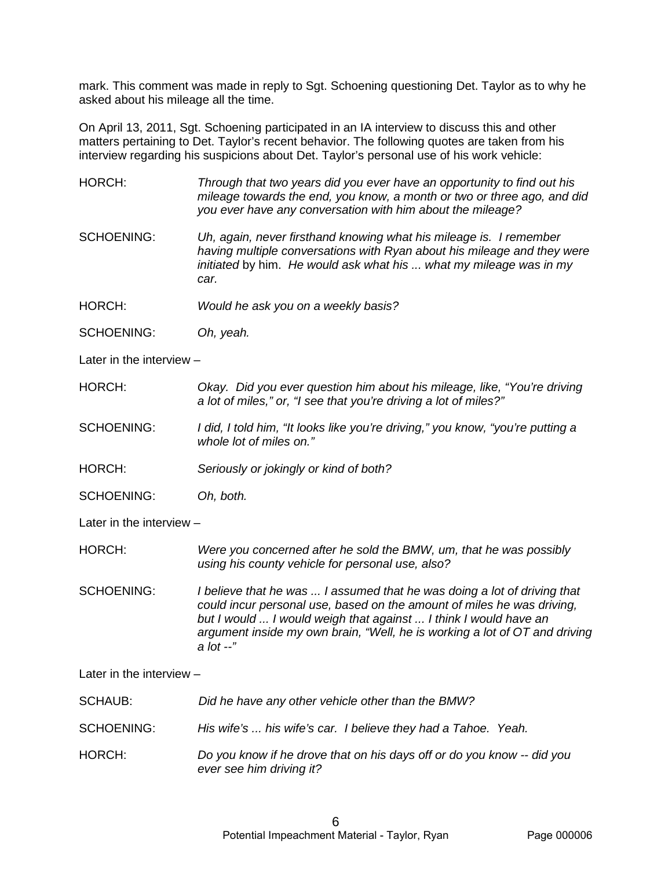mark. This comment was made in reply to Sgt. Schoening questioning Det. Taylor as to why he asked about his mileage all the time.

On April 13, 2011, Sgt. Schoening participated in an IA interview to discuss this and other matters pertaining to Det. Taylor's recent behavior. The following quotes are taken from his interview regarding his suspicions about Det. Taylor's personal use of his work vehicle:

HORCH: *Through that two years did you ever have an opportunity to find out his mileage towards the end, you know, a month or two or three ago, and did you ever have any conversation with him about the mileage?*

SCHOENING: *Uh, again, never firsthand knowing what his mileage is. I remember having multiple conversations with Ryan about his mileage and they were initiated* by him. *He would ask what his ... what my mileage was in my car.*

HORCH: *Would he ask you on a weekly basis?*

SCHOENING: *Oh, yeah.*

Later in the interview –

HORCH: *Okay. Did you ever question him about his mileage, like, "You're driving a lot of miles," or, "I see that you're driving a lot of miles?"* 

SCHOENING: *I did, I told him, "It looks like you're driving," you know, "you're putting a whole lot of miles on."*

HORCH: *Seriously or jokingly or kind of both?*

SCHOENING: *Oh, both.*

Later in the interview –

HORCH: *Were you concerned after he sold the BMW, um, that he was possibly using his county vehicle for personal use, also?*

SCHOENING: *I believe that he was ... I assumed that he was doing a lot of driving that could incur personal use, based on the amount of miles he was driving, but I would ... I would weigh that against ... I think I would have an argument inside my own brain, "Well, he is working a lot of OT and driving a lot --"* 

Later in the interview –

SCHAUB: *Did he have any other vehicle other than the BMW?*

SCHOENING: *His wife's ... his wife's car. I believe they had a Tahoe. Yeah.*

HORCH: *Do you know if he drove that on his days off or do you know -- did you ever see him driving it?*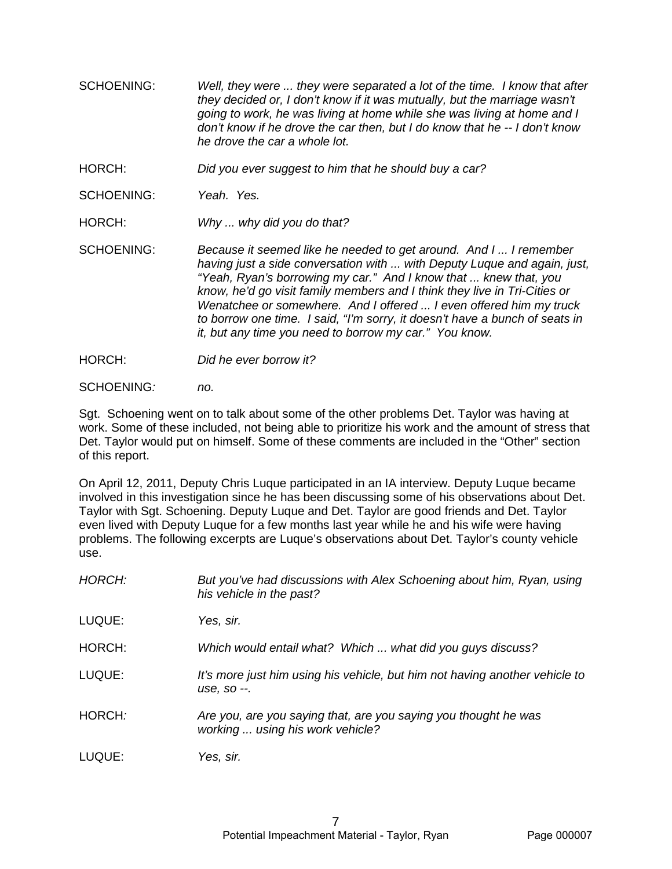- SCHOENING: *Well, they were ... they were separated a lot of the time. I know that after they decided or, I don't know if it was mutually, but the marriage wasn't going to work, he was living at home while she was living at home and I don't know if he drove the car then, but I do know that he -- I don't know he drove the car a whole lot.*
- HORCH: *Did you ever suggest to him that he should buy a car?*
- SCHOENING: *Yeah. Yes.*
- HORCH: *Why ... why did you do that?*

SCHOENING: *Because it seemed like he needed to get around. And I ... I remember having just a side conversation with ... with Deputy Luque and again, just, "Yeah, Ryan's borrowing my car." And I know that ... knew that, you know, he'd go visit family members and I think they live in Tri-Cities or Wenatchee or somewhere. And I offered ... I even offered him my truck to borrow one time. I said, "I'm sorry, it doesn't have a bunch of seats in it, but any time you need to borrow my car." You know.*

- HORCH: *Did he ever borrow it?*
- SCHOENING*: no.*

Sgt. Schoening went on to talk about some of the other problems Det. Taylor was having at work. Some of these included, not being able to prioritize his work and the amount of stress that Det. Taylor would put on himself. Some of these comments are included in the "Other" section of this report.

On April 12, 2011, Deputy Chris Luque participated in an IA interview. Deputy Luque became involved in this investigation since he has been discussing some of his observations about Det. Taylor with Sgt. Schoening. Deputy Luque and Det. Taylor are good friends and Det. Taylor even lived with Deputy Luque for a few months last year while he and his wife were having problems. The following excerpts are Luque's observations about Det. Taylor's county vehicle use.

| HORCH: | But you've had discussions with Alex Schoening about him, Ryan, using<br>his vehicle in the past?   |
|--------|-----------------------------------------------------------------------------------------------------|
| LUQUE: | Yes, sir.                                                                                           |
| HORCH: | Which would entail what? Which  what did you guys discuss?                                          |
| LUQUE: | It's more just him using his vehicle, but him not having another vehicle to<br>use, so --.          |
| HORCH: | Are you, are you saying that, are you saying you thought he was<br>working  using his work vehicle? |
| LUQUE: | Yes, sir.                                                                                           |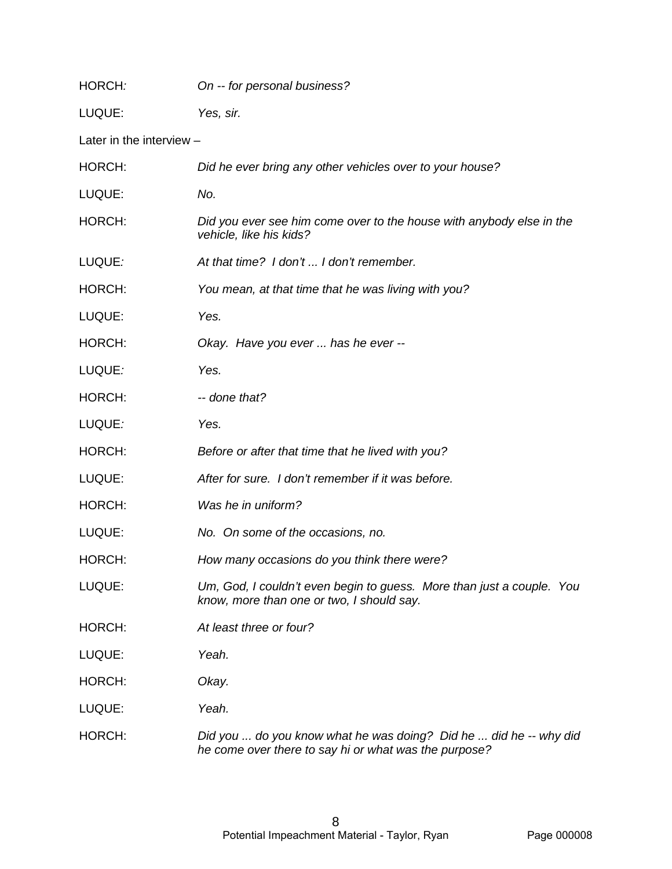| HORCH:                   | On -- for personal business?                                                                                               |
|--------------------------|----------------------------------------------------------------------------------------------------------------------------|
| LUQUE:                   | Yes, sir.                                                                                                                  |
| Later in the interview - |                                                                                                                            |
| HORCH:                   | Did he ever bring any other vehicles over to your house?                                                                   |
| LUQUE:                   | No.                                                                                                                        |
| HORCH:                   | Did you ever see him come over to the house with anybody else in the<br>vehicle, like his kids?                            |
| LUQUE:                   | At that time? I don't  I don't remember.                                                                                   |
| HORCH:                   | You mean, at that time that he was living with you?                                                                        |
| LUQUE:                   | Yes.                                                                                                                       |
| HORCH:                   | Okay. Have you ever  has he ever --                                                                                        |
| LUQUE:                   | Yes.                                                                                                                       |
| HORCH:                   | -- done that?                                                                                                              |
| LUQUE:                   | Yes.                                                                                                                       |
| HORCH:                   | Before or after that time that he lived with you?                                                                          |
| LUQUE:                   | After for sure. I don't remember if it was before.                                                                         |
| HORCH:                   | Was he in uniform?                                                                                                         |
| LUQUE:                   | No. On some of the occasions, no.                                                                                          |
| HORCH:                   | How many occasions do you think there were?                                                                                |
| LUQUE:                   | Um, God, I couldn't even begin to guess. More than just a couple. You<br>know, more than one or two, I should say.         |
| HORCH:                   | At least three or four?                                                                                                    |
| LUQUE:                   | Yeah.                                                                                                                      |
| HORCH:                   | Okay.                                                                                                                      |
| LUQUE:                   | Yeah.                                                                                                                      |
| HORCH:                   | Did you  do you know what he was doing? Did he  did he -- why did<br>he come over there to say hi or what was the purpose? |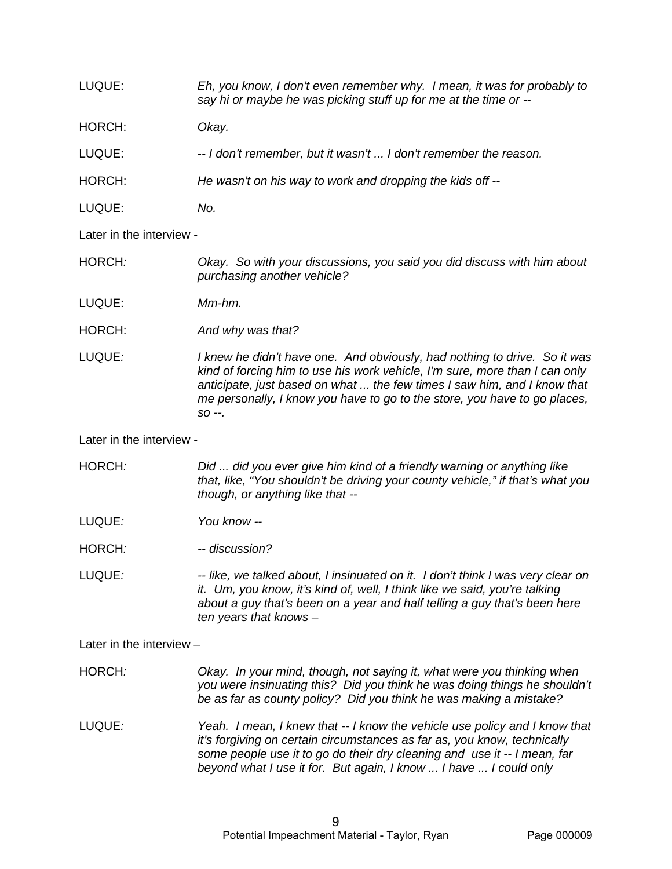LUQUE: *Eh, you know, I don't even remember why. I mean, it was for probably to say hi or maybe he was picking stuff up for me at the time or --* HORCH: *Okay.*  LUQUE: *-- I don't remember, but it wasn't ... I don't remember the reason.* HORCH: *He wasn't on his way to work and dropping the kids off --*

LUQUE: *No.*

Later in the interview -

HORCH*: Okay. So with your discussions, you said you did discuss with him about purchasing another vehicle?*

LUQUE: *Mm-hm.*

HORCH: *And why was that?*

LUQUE*: I knew he didn't have one. And obviously, had nothing to drive. So it was kind of forcing him to use his work vehicle, I'm sure, more than I can only anticipate, just based on what ... the few times I saw him, and I know that me personally, I know you have to go to the store, you have to go places, so --.* 

Later in the interview -

HORCH*: Did ... did you ever give him kind of a friendly warning or anything like that, like, "You shouldn't be driving your county vehicle," if that's what you though, or anything like that --*

LUQUE*: You know --*

HORCH*: -- discussion?* 

LUQUE*: -- like, we talked about, I insinuated on it. I don't think I was very clear on it. Um, you know, it's kind of, well, I think like we said, you're talking about a guy that's been on a year and half telling a guy that's been here ten years that knows –* 

Later in the interview –

HORCH*: Okay. In your mind, though, not saying it, what were you thinking when you were insinuating this? Did you think he was doing things he shouldn't be as far as county policy? Did you think he was making a mistake?*

LUQUE*: Yeah. I mean, I knew that -- I know the vehicle use policy and I know that it's forgiving on certain circumstances as far as, you know, technically some people use it to go do their dry cleaning and use it -- I mean, far beyond what I use it for. But again, I know ... I have ... I could only*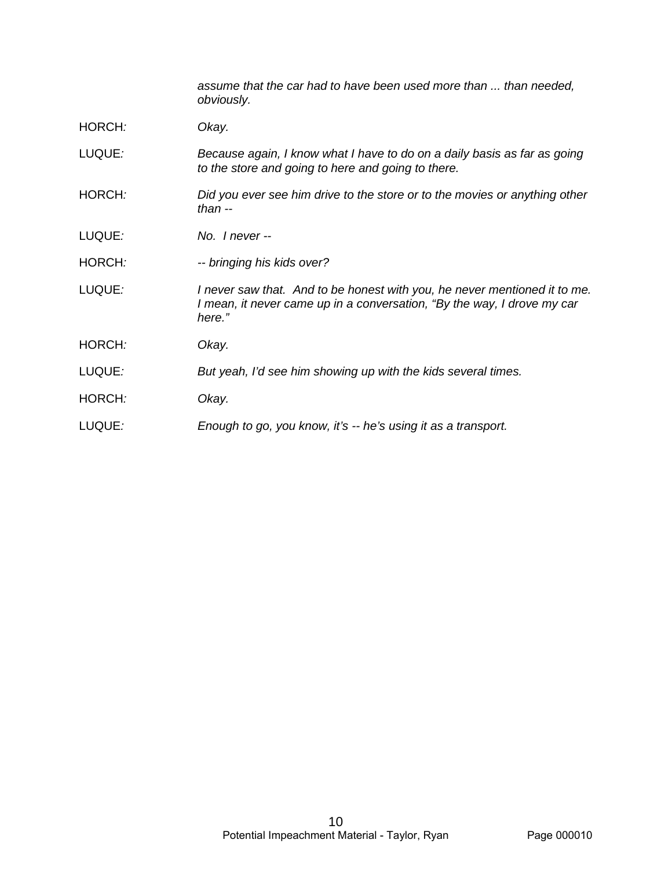*assume that the car had to have been used more than ... than needed, obviously.*

- HORCH*: Okay.*
- LUQUE*: Because again, I know what I have to do on a daily basis as far as going to the store and going to here and going to there.*
- HORCH*: Did you ever see him drive to the store or to the movies or anything other than --*
- LUQUE*: No. I never --*
- HORCH*: -- bringing his kids over?*
- LUQUE*: I never saw that. And to be honest with you, he never mentioned it to me. I mean, it never came up in a conversation, "By the way, I drove my car here."*
- HORCH*: Okay.*
- LUQUE*: But yeah, I'd see him showing up with the kids several times.*
- HORCH*: Okay.*
- LUQUE*: Enough to go, you know, it's -- he's using it as a transport.*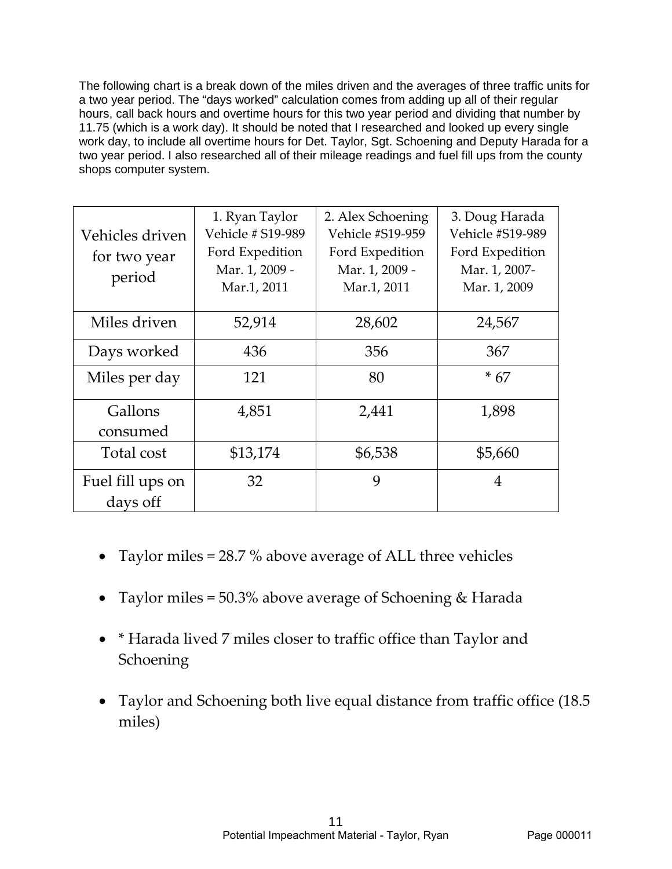The following chart is a break down of the miles driven and the averages of three traffic units for a two year period. The "days worked" calculation comes from adding up all of their regular hours, call back hours and overtime hours for this two year period and dividing that number by 11.75 (which is a work day). It should be noted that I researched and looked up every single work day, to include all overtime hours for Det. Taylor, Sgt. Schoening and Deputy Harada for a two year period. I also researched all of their mileage readings and fuel fill ups from the county shops computer system.

| Vehicles driven<br>for two year<br>period | 1. Ryan Taylor<br>Vehicle # S19-989<br>Ford Expedition<br>Mar. 1, 2009 -<br>Mar.1, 2011 | 2. Alex Schoening<br><b>Vehicle #S19-959</b><br>Ford Expedition<br>Mar. 1, 2009 -<br>Mar.1, 2011 | 3. Doug Harada<br><b>Vehicle #S19-989</b><br>Ford Expedition<br>Mar. 1, 2007-<br>Mar. 1, 2009 |
|-------------------------------------------|-----------------------------------------------------------------------------------------|--------------------------------------------------------------------------------------------------|-----------------------------------------------------------------------------------------------|
| Miles driven                              | 52,914                                                                                  | 28,602                                                                                           | 24,567                                                                                        |
| Days worked                               | 436                                                                                     | 356                                                                                              | 367                                                                                           |
| Miles per day                             | 121                                                                                     | 80                                                                                               | $*67$                                                                                         |
| Gallons<br>consumed                       | 4,851                                                                                   | 2,441                                                                                            | 1,898                                                                                         |
| Total cost                                | \$13,174                                                                                | \$6,538                                                                                          | \$5,660                                                                                       |
| Fuel fill ups on<br>days off              | 32                                                                                      | 9                                                                                                | 4                                                                                             |

- Taylor miles = 28.7 % above average of ALL three vehicles
- Taylor miles = 50.3% above average of Schoening & Harada
- \* Harada lived 7 miles closer to traffic office than Taylor and **Schoening**
- Taylor and Schoening both live equal distance from traffic office (18.5 miles)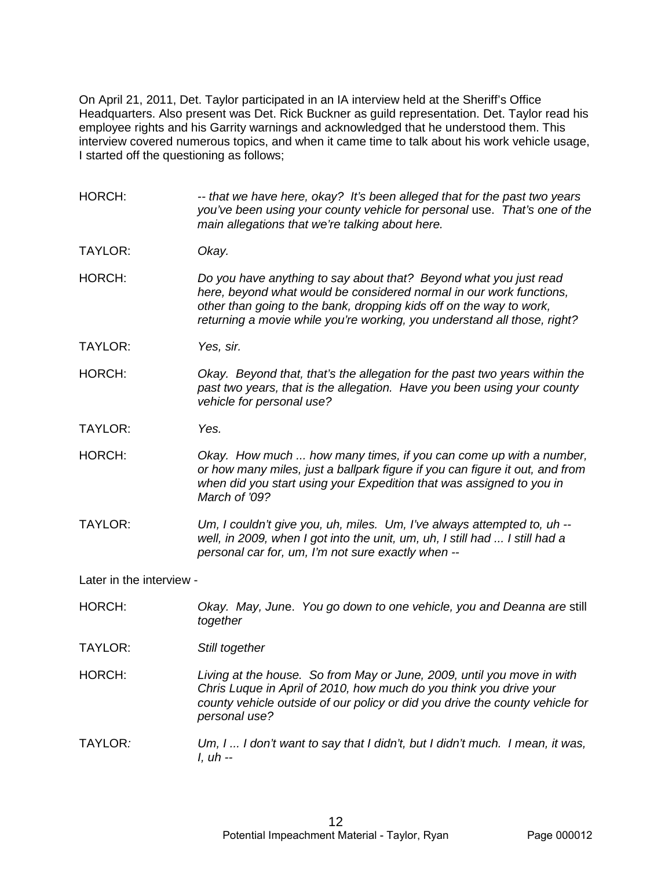On April 21, 2011, Det. Taylor participated in an IA interview held at the Sheriff's Office Headquarters. Also present was Det. Rick Buckner as guild representation. Det. Taylor read his employee rights and his Garrity warnings and acknowledged that he understood them. This interview covered numerous topics, and when it came time to talk about his work vehicle usage, I started off the questioning as follows;

HORCH: *-- that we have here, okay? It's been alleged that for the past two years you've been using your county vehicle for personal* use. *That's one of the main allegations that we're talking about here.* TAYLOR: *Okay.* HORCH: *Do you have anything to say about that? Beyond what you just read here, beyond what would be considered normal in our work functions, other than going to the bank, dropping kids off on the way to work, returning a movie while you're working, you understand all those, right?* TAYLOR: *Yes, sir.* HORCH: *Okay. Beyond that, that's the allegation for the past two years within the past two years, that is the allegation. Have you been using your county vehicle for personal use?* TAYLOR: *Yes.* HORCH: *Okay. How much ... how many times, if you can come up with a number, or how many miles, just a ballpark figure if you can figure it out, and from when did you start using your Expedition that was assigned to you in March of '09?* TAYLOR: *Um, I couldn't give you, uh, miles. Um, I've always attempted to, uh - well, in 2009, when I got into the unit, um, uh, I still had ... I still had a personal car for, um, I'm not sure exactly when --* Later in the interview -

HORCH: *Okay. May, Jun*e. *You go down to one vehicle, you and Deanna are* still *together*

TAYLOR: *Still together*

HORCH: *Living at the house. So from May or June, 2009, until you move in with Chris Luque in April of 2010, how much do you think you drive your county vehicle outside of our policy or did you drive the county vehicle for personal use?*

TAYLOR*: Um, I ... I don't want to say that I didn't, but I didn't much. I mean, it was, I, uh --*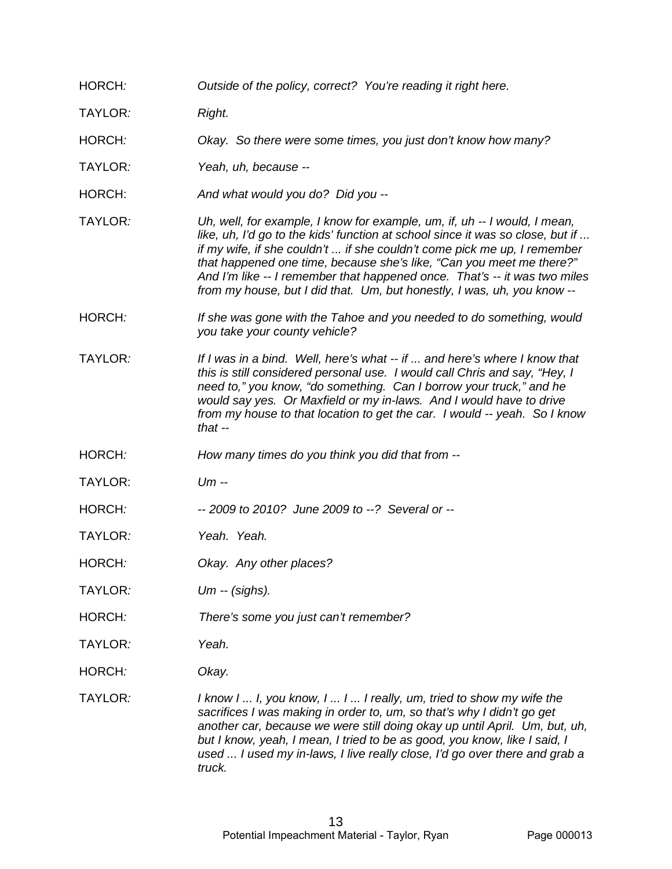HORCH*: Outside of the policy, correct? You're reading it right here.*

TAYLOR*: Right.*

HORCH*: Okay. So there were some times, you just don't know how many?*

TAYLOR*: Yeah, uh, because --*

HORCH: *And what would you do? Did you --*

TAYLOR*: Uh, well, for example, I know for example, um, if, uh -- I would, I mean, like, uh, I'd go to the kids' function at school since it was so close, but if ... if my wife, if she couldn't ... if she couldn't come pick me up, I remember that happened one time, because she's like, "Can you meet me there?" And I'm like -- I remember that happened once. That's -- it was two miles from my house, but I did that. Um, but honestly, I was, uh, you know --*

HORCH*: If she was gone with the Tahoe and you needed to do something, would you take your county vehicle?*

TAYLOR*: If I was in a bind. Well, here's what -- if ... and here's where I know that this is still considered personal use. I would call Chris and say, "Hey, I need to," you know, "do something. Can I borrow your truck," and he would say yes. Or Maxfield or my in-laws. And I would have to drive from my house to that location to get the car. I would -- yeah. So I know that --*

HORCH*: How many times do you think you did that from --*

TAYLOR: *Um --*

HORCH*: -- 2009 to 2010? June 2009 to --? Several or --*

TAYLOR*: Yeah. Yeah.*

HORCH*: Okay. Any other places?*

TAYLOR*: Um -- (sighs).*

HORCH*: There's some you just can't remember?* 

TAYLOR*: Yeah.*

HORCH*: Okay.* 

TAYLOR*: I know I ... I, you know, I ... I ... I really, um, tried to show my wife the sacrifices I was making in order to, um, so that's why I didn't go get another car, because we were still doing okay up until April. Um, but, uh, but I know, yeah, I mean, I tried to be as good, you know, like I said, I used ... I used my in-laws, I live really close, I'd go over there and grab a truck.*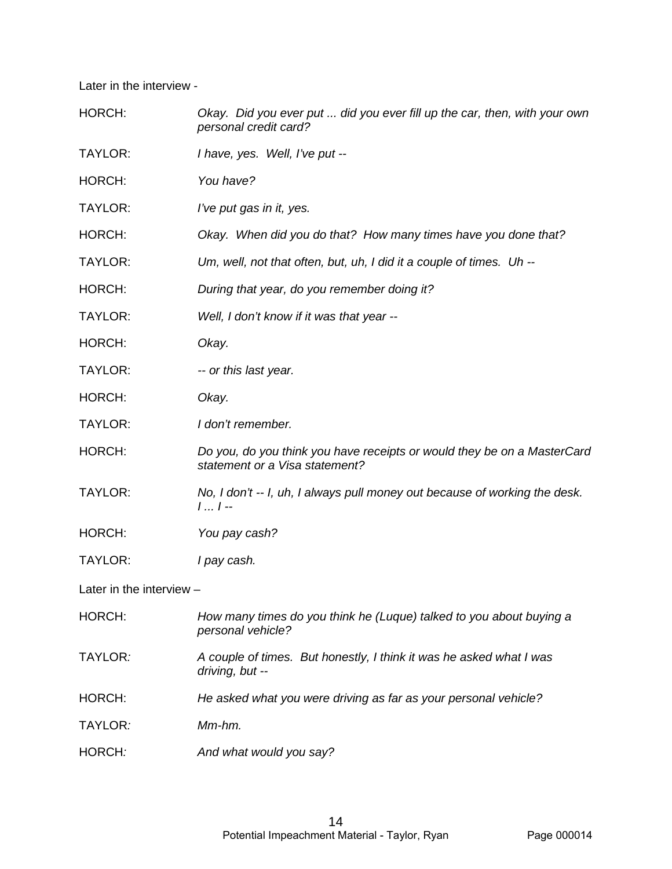Later in the interview -

| HORCH:                   | Okay. Did you ever put  did you ever fill up the car, then, with your own<br>personal credit card?        |
|--------------------------|-----------------------------------------------------------------------------------------------------------|
| TAYLOR:                  | I have, yes. Well, I've put --                                                                            |
| HORCH:                   | You have?                                                                                                 |
| TAYLOR:                  | I've put gas in it, yes.                                                                                  |
| HORCH:                   | Okay. When did you do that? How many times have you done that?                                            |
| TAYLOR:                  | Um, well, not that often, but, uh, I did it a couple of times. Uh --                                      |
| HORCH:                   | During that year, do you remember doing it?                                                               |
| TAYLOR:                  | Well, I don't know if it was that year --                                                                 |
| HORCH:                   | Okay.                                                                                                     |
| TAYLOR:                  | -- or this last year.                                                                                     |
| HORCH:                   | Okay.                                                                                                     |
| TAYLOR:                  | I don't remember.                                                                                         |
| HORCH:                   | Do you, do you think you have receipts or would they be on a MasterCard<br>statement or a Visa statement? |
| TAYLOR:                  | No, I don't -- I, uh, I always pull money out because of working the desk.<br>$11 -$                      |
| HORCH:                   | You pay cash?                                                                                             |
| TAYLOR:                  | I pay cash.                                                                                               |
| Later in the interview - |                                                                                                           |
| HORCH:                   | How many times do you think he (Luque) talked to you about buying a<br>personal vehicle?                  |
| TAYLOR:                  | A couple of times. But honestly, I think it was he asked what I was<br>driving, but --                    |
| HORCH:                   | He asked what you were driving as far as your personal vehicle?                                           |
| TAYLOR:                  | Mm-hm.                                                                                                    |
| HORCH:                   | And what would you say?                                                                                   |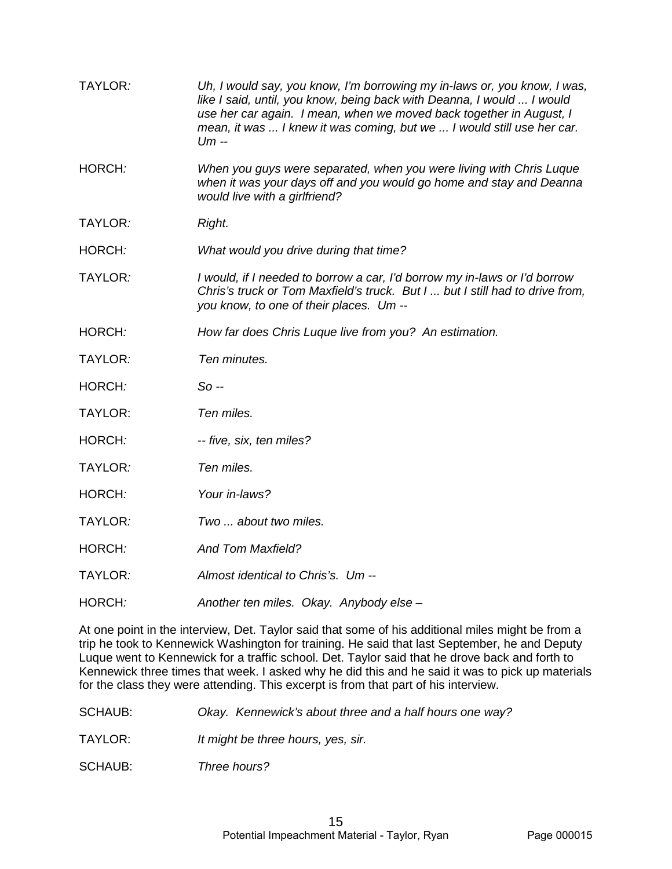| TAYLOR:        | Uh, I would say, you know, I'm borrowing my in-laws or, you know, I was,<br>like I said, until, you know, being back with Deanna, I would  I would<br>use her car again. I mean, when we moved back together in August, I<br>mean, it was  I knew it was coming, but we  I would still use her car.<br>$Um -$ |
|----------------|---------------------------------------------------------------------------------------------------------------------------------------------------------------------------------------------------------------------------------------------------------------------------------------------------------------|
| HORCH:         | When you guys were separated, when you were living with Chris Luque<br>when it was your days off and you would go home and stay and Deanna<br>would live with a girlfriend?                                                                                                                                   |
| TAYLOR:        | Right.                                                                                                                                                                                                                                                                                                        |
| HORCH:         | What would you drive during that time?                                                                                                                                                                                                                                                                        |
| TAYLOR:        | I would, if I needed to borrow a car, I'd borrow my in-laws or I'd borrow<br>Chris's truck or Tom Maxfield's truck. But I  but I still had to drive from,<br>you know, to one of their places. Um --                                                                                                          |
| HORCH:         | How far does Chris Luque live from you? An estimation.                                                                                                                                                                                                                                                        |
| TAYLOR:        | Ten minutes.                                                                                                                                                                                                                                                                                                  |
| HORCH:         | So --                                                                                                                                                                                                                                                                                                         |
| <b>TAYLOR:</b> | Ten miles.                                                                                                                                                                                                                                                                                                    |
| HORCH:         | -- five, six, ten miles?                                                                                                                                                                                                                                                                                      |
| TAYLOR:        | Ten miles.                                                                                                                                                                                                                                                                                                    |
| HORCH:         | Your in-laws?                                                                                                                                                                                                                                                                                                 |
| TAYLOR:        | Two  about two miles.                                                                                                                                                                                                                                                                                         |
| HORCH:         | <b>And Tom Maxfield?</b>                                                                                                                                                                                                                                                                                      |
| TAYLOR:        | Almost identical to Chris's. Um --                                                                                                                                                                                                                                                                            |
| HORCH:         | Another ten miles. Okay. Anybody else -                                                                                                                                                                                                                                                                       |

At one point in the interview, Det. Taylor said that some of his additional miles might be from a trip he took to Kennewick Washington for training. He said that last September, he and Deputy Luque went to Kennewick for a traffic school. Det. Taylor said that he drove back and forth to Kennewick three times that week. I asked why he did this and he said it was to pick up materials for the class they were attending. This excerpt is from that part of his interview.

SCHAUB: *Okay. Kennewick's about three and a half hours one way?*

TAYLOR: *It might be three hours, yes, sir.*

SCHAUB: *Three hours?*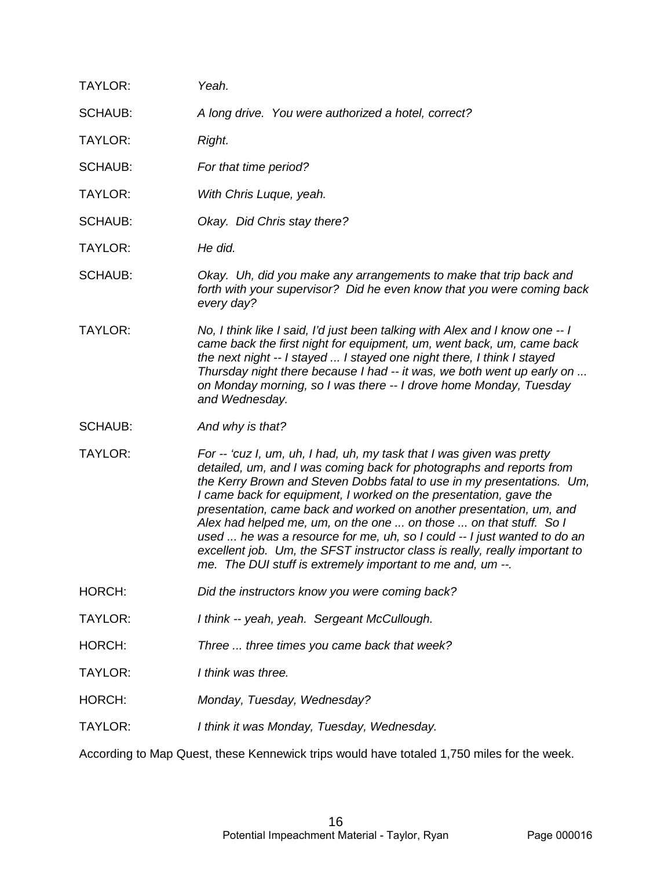| TAYLOR:        | Yeah.                                                                                                                                                                                                                                                                                                                                                                                                                                                                                                                                                                                                                                                             |
|----------------|-------------------------------------------------------------------------------------------------------------------------------------------------------------------------------------------------------------------------------------------------------------------------------------------------------------------------------------------------------------------------------------------------------------------------------------------------------------------------------------------------------------------------------------------------------------------------------------------------------------------------------------------------------------------|
| SCHAUB:        | A long drive. You were authorized a hotel, correct?                                                                                                                                                                                                                                                                                                                                                                                                                                                                                                                                                                                                               |
| <b>TAYLOR:</b> | Right.                                                                                                                                                                                                                                                                                                                                                                                                                                                                                                                                                                                                                                                            |
| <b>SCHAUB:</b> | For that time period?                                                                                                                                                                                                                                                                                                                                                                                                                                                                                                                                                                                                                                             |
| TAYLOR:        | With Chris Luque, yeah.                                                                                                                                                                                                                                                                                                                                                                                                                                                                                                                                                                                                                                           |
| <b>SCHAUB:</b> | Okay. Did Chris stay there?                                                                                                                                                                                                                                                                                                                                                                                                                                                                                                                                                                                                                                       |
| <b>TAYLOR:</b> | He did.                                                                                                                                                                                                                                                                                                                                                                                                                                                                                                                                                                                                                                                           |
| <b>SCHAUB:</b> | Okay. Uh, did you make any arrangements to make that trip back and<br>forth with your supervisor? Did he even know that you were coming back<br>every day?                                                                                                                                                                                                                                                                                                                                                                                                                                                                                                        |
| <b>TAYLOR:</b> | No, I think like I said, I'd just been talking with Alex and I know one -- I<br>came back the first night for equipment, um, went back, um, came back<br>the next night -- I stayed  I stayed one night there, I think I stayed<br>Thursday night there because I had -- it was, we both went up early on<br>on Monday morning, so I was there -- I drove home Monday, Tuesday<br>and Wednesday.                                                                                                                                                                                                                                                                  |
| <b>SCHAUB:</b> | And why is that?                                                                                                                                                                                                                                                                                                                                                                                                                                                                                                                                                                                                                                                  |
| TAYLOR:        | For -- 'cuz I, um, uh, I had, uh, my task that I was given was pretty<br>detailed, um, and I was coming back for photographs and reports from<br>the Kerry Brown and Steven Dobbs fatal to use in my presentations. Um,<br>I came back for equipment, I worked on the presentation, gave the<br>presentation, came back and worked on another presentation, um, and<br>Alex had helped me, um, on the one  on those  on that stuff. So I<br>used  he was a resource for me, uh, so I could -- I just wanted to do an<br>excellent job. Um, the SFST instructor class is really, really important to<br>me. The DUI stuff is extremely important to me and, um --. |
| HORCH:         | Did the instructors know you were coming back?                                                                                                                                                                                                                                                                                                                                                                                                                                                                                                                                                                                                                    |
| TAYLOR:        | I think -- yeah, yeah. Sergeant McCullough.                                                                                                                                                                                                                                                                                                                                                                                                                                                                                                                                                                                                                       |
| HORCH:         | Three  three times you came back that week?                                                                                                                                                                                                                                                                                                                                                                                                                                                                                                                                                                                                                       |
| TAYLOR:        | I think was three.                                                                                                                                                                                                                                                                                                                                                                                                                                                                                                                                                                                                                                                |
| HORCH:         | Monday, Tuesday, Wednesday?                                                                                                                                                                                                                                                                                                                                                                                                                                                                                                                                                                                                                                       |
| <b>TAYLOR:</b> | I think it was Monday, Tuesday, Wednesday.                                                                                                                                                                                                                                                                                                                                                                                                                                                                                                                                                                                                                        |
|                | According to Map Quest these Kennewick trips would boys totaled 1.750 miles for the week                                                                                                                                                                                                                                                                                                                                                                                                                                                                                                                                                                          |

According to Map Quest, these Kennewick trips would have totaled 1,750 miles for the week.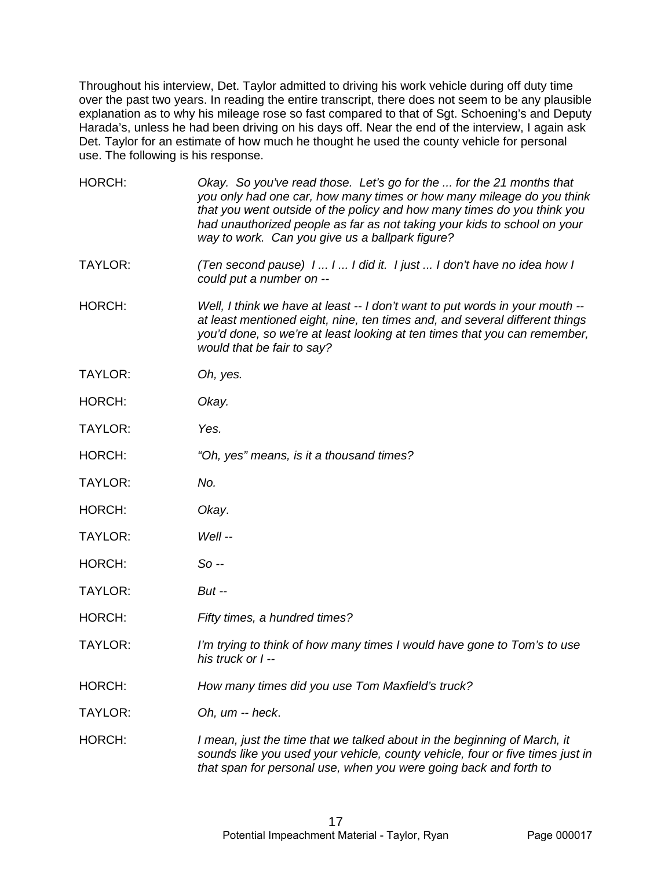Throughout his interview, Det. Taylor admitted to driving his work vehicle during off duty time over the past two years. In reading the entire transcript, there does not seem to be any plausible explanation as to why his mileage rose so fast compared to that of Sgt. Schoening's and Deputy Harada's, unless he had been driving on his days off. Near the end of the interview, I again ask Det. Taylor for an estimate of how much he thought he used the county vehicle for personal use. The following is his response.

| HORCH:         | Okay. So you've read those. Let's go for the  for the 21 months that<br>you only had one car, how many times or how many mileage do you think<br>that you went outside of the policy and how many times do you think you<br>had unauthorized people as far as not taking your kids to school on your<br>way to work. Can you give us a ballpark figure? |
|----------------|---------------------------------------------------------------------------------------------------------------------------------------------------------------------------------------------------------------------------------------------------------------------------------------------------------------------------------------------------------|
| <b>TAYLOR:</b> | (Ten second pause) 11 I did it. 1 just  I don't have no idea how I<br>could put a number on --                                                                                                                                                                                                                                                          |
| HORCH:         | Well, I think we have at least -- I don't want to put words in your mouth --<br>at least mentioned eight, nine, ten times and, and several different things<br>you'd done, so we're at least looking at ten times that you can remember,<br>would that be fair to say?                                                                                  |
| TAYLOR:        | Oh, yes.                                                                                                                                                                                                                                                                                                                                                |
| HORCH:         | Okay.                                                                                                                                                                                                                                                                                                                                                   |
| <b>TAYLOR:</b> | Yes.                                                                                                                                                                                                                                                                                                                                                    |
| HORCH:         | "Oh, yes" means, is it a thousand times?                                                                                                                                                                                                                                                                                                                |
| TAYLOR:        | No.                                                                                                                                                                                                                                                                                                                                                     |
| HORCH:         | Okay.                                                                                                                                                                                                                                                                                                                                                   |
| TAYLOR:        | Well --                                                                                                                                                                                                                                                                                                                                                 |
| HORCH:         | So --                                                                                                                                                                                                                                                                                                                                                   |
| TAYLOR:        | <b>But --</b>                                                                                                                                                                                                                                                                                                                                           |
| HORCH:         | Fifty times, a hundred times?                                                                                                                                                                                                                                                                                                                           |
| <b>TAYLOR:</b> | I'm trying to think of how many times I would have gone to Tom's to use<br>his truck or I --                                                                                                                                                                                                                                                            |
| HORCH:         | How many times did you use Tom Maxfield's truck?                                                                                                                                                                                                                                                                                                        |
| TAYLOR:        | Oh, um -- heck.                                                                                                                                                                                                                                                                                                                                         |
| HORCH:         | I mean, just the time that we talked about in the beginning of March, it<br>sounds like you used your vehicle, county vehicle, four or five times just in<br>that span for personal use, when you were going back and forth to                                                                                                                          |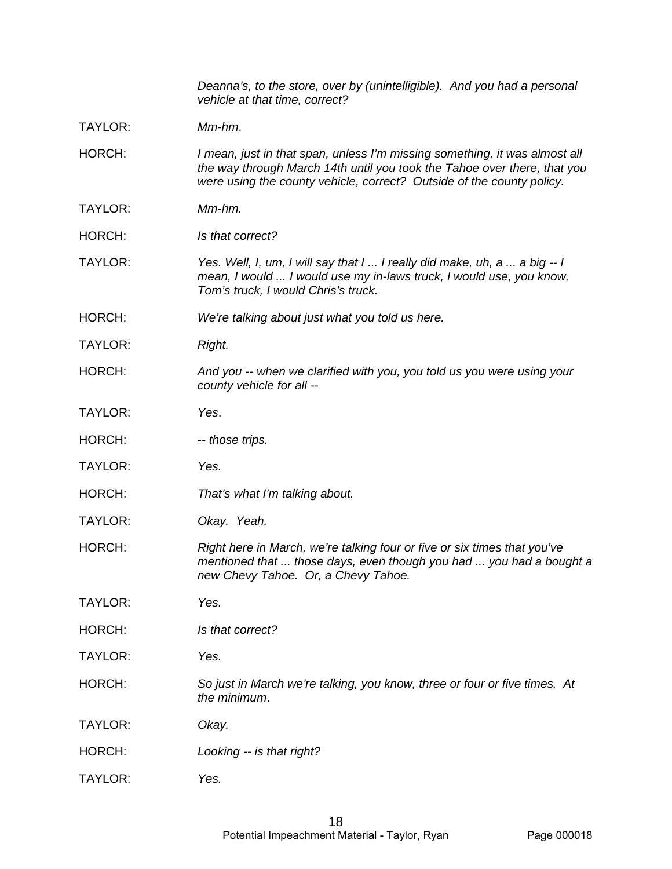|                | Deanna's, to the store, over by (unintelligible). And you had a personal<br>vehicle at that time, correct?                                                                                                                      |
|----------------|---------------------------------------------------------------------------------------------------------------------------------------------------------------------------------------------------------------------------------|
| TAYLOR:        | Mm-hm.                                                                                                                                                                                                                          |
| HORCH:         | I mean, just in that span, unless I'm missing something, it was almost all<br>the way through March 14th until you took the Tahoe over there, that you<br>were using the county vehicle, correct? Outside of the county policy. |
| TAYLOR:        | Mm-hm.                                                                                                                                                                                                                          |
| HORCH:         | Is that correct?                                                                                                                                                                                                                |
| <b>TAYLOR:</b> | Yes. Well, I, um, I will say that I  I really did make, uh, a  a big -- I<br>mean, I would  I would use my in-laws truck, I would use, you know,<br>Tom's truck, I would Chris's truck.                                         |
| HORCH:         | We're talking about just what you told us here.                                                                                                                                                                                 |
| TAYLOR:        | Right.                                                                                                                                                                                                                          |
| HORCH:         | And you -- when we clarified with you, you told us you were using your<br>county vehicle for all --                                                                                                                             |
| <b>TAYLOR:</b> | Yes.                                                                                                                                                                                                                            |
| HORCH:         | -- those trips.                                                                                                                                                                                                                 |
| <b>TAYLOR:</b> | Yes.                                                                                                                                                                                                                            |
| HORCH:         | That's what I'm talking about.                                                                                                                                                                                                  |
| TAYLOR:        | Okay. Yeah.                                                                                                                                                                                                                     |
| HORCH:         | Right here in March, we're talking four or five or six times that you've<br>mentioned that  those days, even though you had  you had a bought a<br>new Chevy Tahoe. Or, a Chevy Tahoe.                                          |
| <b>TAYLOR:</b> | Yes.                                                                                                                                                                                                                            |
| HORCH:         | Is that correct?                                                                                                                                                                                                                |
| TAYLOR:        | Yes.                                                                                                                                                                                                                            |
| HORCH:         | So just in March we're talking, you know, three or four or five times. At<br>the minimum.                                                                                                                                       |
| <b>TAYLOR:</b> | Okay.                                                                                                                                                                                                                           |
| HORCH:         | Looking -- is that right?                                                                                                                                                                                                       |
| TAYLOR:        | Yes.                                                                                                                                                                                                                            |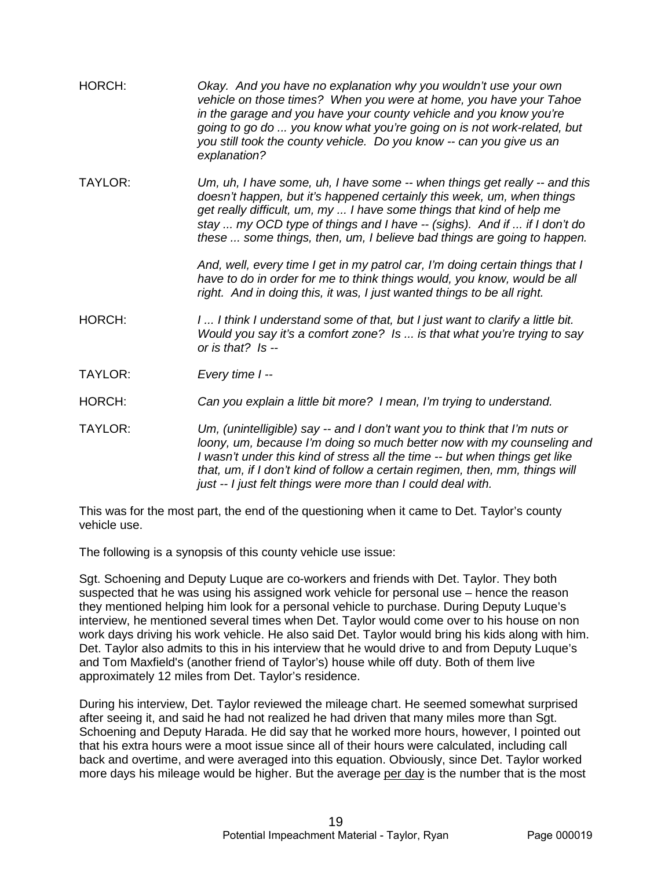| HORCH:         | Okay. And you have no explanation why you wouldn't use your own<br>vehicle on those times? When you were at home, you have your Tahoe<br>in the garage and you have your county vehicle and you know you're<br>going to go do  you know what you're going on is not work-related, but<br>you still took the county vehicle. Do you know -- can you give us an<br>explanation?        |
|----------------|--------------------------------------------------------------------------------------------------------------------------------------------------------------------------------------------------------------------------------------------------------------------------------------------------------------------------------------------------------------------------------------|
| <b>TAYLOR:</b> | Um, uh, I have some, uh, I have some -- when things get really -- and this<br>doesn't happen, but it's happened certainly this week, um, when things<br>get really difficult, um, my  I have some things that kind of help me<br>stay  my OCD type of things and I have -- (sighs). And if  if I don't do<br>these  some things, then, um, I believe bad things are going to happen. |
|                | And, well, every time I get in my patrol car, I'm doing certain things that I<br>have to do in order for me to think things would, you know, would be all<br>right. And in doing this, it was, I just wanted things to be all right.                                                                                                                                                 |
| <b>HORCH:</b>  | I I think I understand some of that, but I just want to clarify a little bit.<br>Would you say it's a comfort zone? Is  is that what you're trying to say<br>or is that? $Is -$                                                                                                                                                                                                      |
| <b>TAYLOR:</b> | Every time I --                                                                                                                                                                                                                                                                                                                                                                      |
| <b>HORCH:</b>  | Can you explain a little bit more? I mean, I'm trying to understand.                                                                                                                                                                                                                                                                                                                 |
| TAYLOR:        | Um, (unintelligible) say -- and I don't want you to think that I'm nuts or<br>loony, um, because I'm doing so much better now with my counseling and<br>I wasn't under this kind of stress all the time -- but when things get like<br>that, um, if I don't kind of follow a certain regimen, then, mm, things will<br>just -- I just felt things were more than I could deal with.  |

This was for the most part, the end of the questioning when it came to Det. Taylor's county vehicle use.

The following is a synopsis of this county vehicle use issue:

Sgt. Schoening and Deputy Luque are co-workers and friends with Det. Taylor. They both suspected that he was using his assigned work vehicle for personal use – hence the reason they mentioned helping him look for a personal vehicle to purchase. During Deputy Luque's interview, he mentioned several times when Det. Taylor would come over to his house on non work days driving his work vehicle. He also said Det. Taylor would bring his kids along with him. Det. Taylor also admits to this in his interview that he would drive to and from Deputy Luque's and Tom Maxfield's (another friend of Taylor's) house while off duty. Both of them live approximately 12 miles from Det. Taylor's residence.

During his interview, Det. Taylor reviewed the mileage chart. He seemed somewhat surprised after seeing it, and said he had not realized he had driven that many miles more than Sgt. Schoening and Deputy Harada. He did say that he worked more hours, however, I pointed out that his extra hours were a moot issue since all of their hours were calculated, including call back and overtime, and were averaged into this equation. Obviously, since Det. Taylor worked more days his mileage would be higher. But the average per day is the number that is the most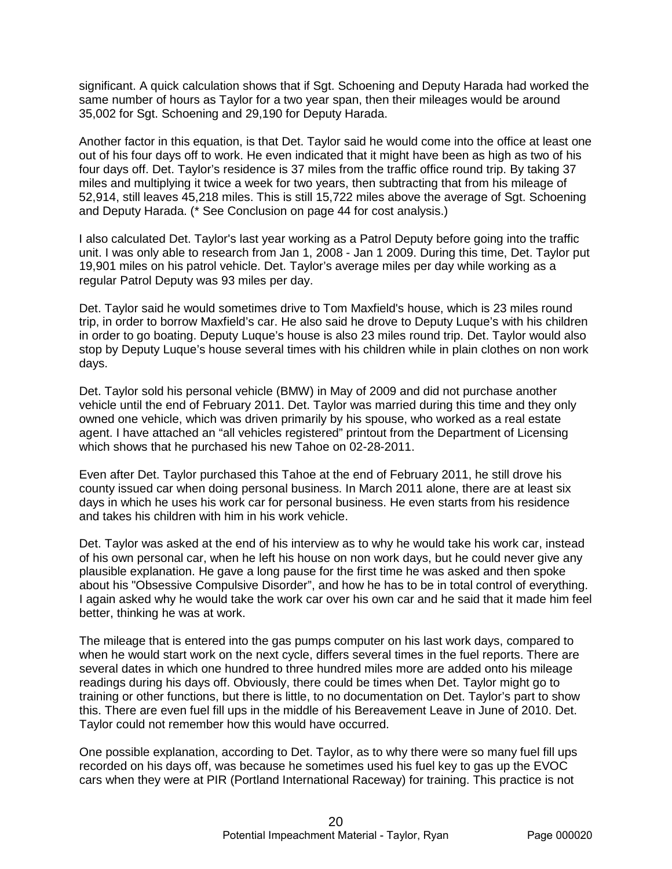significant. A quick calculation shows that if Sgt. Schoening and Deputy Harada had worked the same number of hours as Taylor for a two year span, then their mileages would be around 35,002 for Sgt. Schoening and 29,190 for Deputy Harada.

Another factor in this equation, is that Det. Taylor said he would come into the office at least one out of his four days off to work. He even indicated that it might have been as high as two of his four days off. Det. Taylor's residence is 37 miles from the traffic office round trip. By taking 37 miles and multiplying it twice a week for two years, then subtracting that from his mileage of 52,914, still leaves 45,218 miles. This is still 15,722 miles above the average of Sgt. Schoening and Deputy Harada. (\* See Conclusion on page 44 for cost analysis.)

I also calculated Det. Taylor's last year working as a Patrol Deputy before going into the traffic unit. I was only able to research from Jan 1, 2008 - Jan 1 2009. During this time, Det. Taylor put 19,901 miles on his patrol vehicle. Det. Taylor's average miles per day while working as a regular Patrol Deputy was 93 miles per day.

Det. Taylor said he would sometimes drive to Tom Maxfield's house, which is 23 miles round trip, in order to borrow Maxfield's car. He also said he drove to Deputy Luque's with his children in order to go boating. Deputy Luque's house is also 23 miles round trip. Det. Taylor would also stop by Deputy Luque's house several times with his children while in plain clothes on non work days.

Det. Taylor sold his personal vehicle (BMW) in May of 2009 and did not purchase another vehicle until the end of February 2011. Det. Taylor was married during this time and they only owned one vehicle, which was driven primarily by his spouse, who worked as a real estate agent. I have attached an "all vehicles registered" printout from the Department of Licensing which shows that he purchased his new Tahoe on 02-28-2011.

Even after Det. Taylor purchased this Tahoe at the end of February 2011, he still drove his county issued car when doing personal business. In March 2011 alone, there are at least six days in which he uses his work car for personal business. He even starts from his residence and takes his children with him in his work vehicle.

Det. Taylor was asked at the end of his interview as to why he would take his work car, instead of his own personal car, when he left his house on non work days, but he could never give any plausible explanation. He gave a long pause for the first time he was asked and then spoke about his "Obsessive Compulsive Disorder", and how he has to be in total control of everything. I again asked why he would take the work car over his own car and he said that it made him feel better, thinking he was at work.

The mileage that is entered into the gas pumps computer on his last work days, compared to when he would start work on the next cycle, differs several times in the fuel reports. There are several dates in which one hundred to three hundred miles more are added onto his mileage readings during his days off. Obviously, there could be times when Det. Taylor might go to training or other functions, but there is little, to no documentation on Det. Taylor's part to show this. There are even fuel fill ups in the middle of his Bereavement Leave in June of 2010. Det. Taylor could not remember how this would have occurred.

One possible explanation, according to Det. Taylor, as to why there were so many fuel fill ups recorded on his days off, was because he sometimes used his fuel key to gas up the EVOC cars when they were at PIR (Portland International Raceway) for training. This practice is not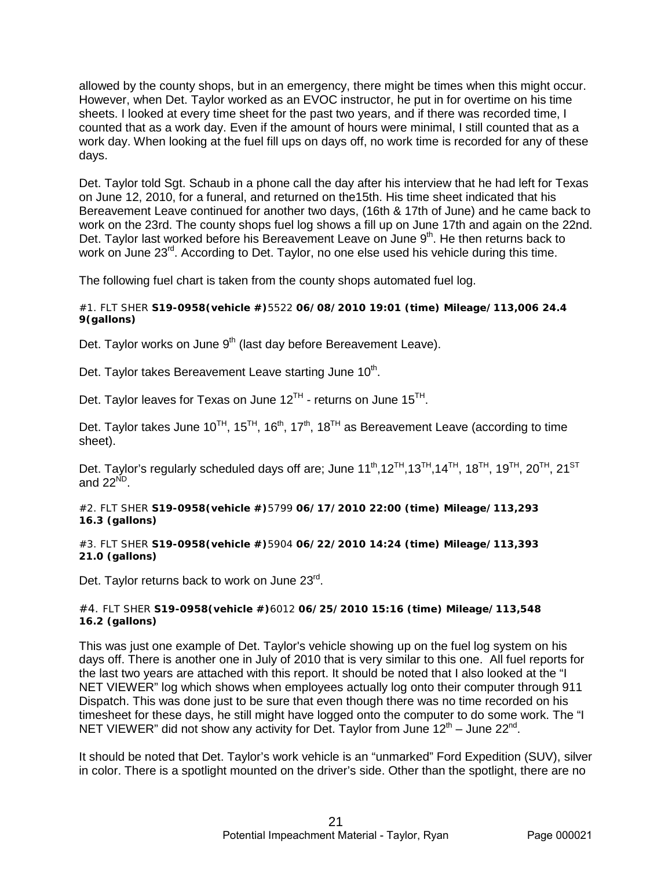allowed by the county shops, but in an emergency, there might be times when this might occur. However, when Det. Taylor worked as an EVOC instructor, he put in for overtime on his time sheets. I looked at every time sheet for the past two years, and if there was recorded time, I counted that as a work day. Even if the amount of hours were minimal, I still counted that as a work day. When looking at the fuel fill ups on days off, no work time is recorded for any of these days.

Det. Taylor told Sgt. Schaub in a phone call the day after his interview that he had left for Texas on June 12, 2010, for a funeral, and returned on the15th. His time sheet indicated that his Bereavement Leave continued for another two days, (16th & 17th of June) and he came back to work on the 23rd. The county shops fuel log shows a fill up on June 17th and again on the 22nd. Det. Taylor last worked before his Bereavement Leave on June  $9<sup>th</sup>$ . He then returns back to work on June 23<sup>rd</sup>. According to Det. Taylor, no one else used his vehicle during this time.

The following fuel chart is taken from the county shops automated fuel log.

#### #1. FLT SHER **S19-0958(vehicle #)**5522 **06/08/2010 19:01 (time) Mileage/113,006 24.4 9(gallons)**

Det. Taylor works on June  $9<sup>th</sup>$  (last day before Bereavement Leave).

Det. Taylor takes Bereavement Leave starting June 10<sup>th</sup>.

Det. Taylor leaves for Texas on June  $12^{TH}$  - returns on June  $15^{TH}$ .

Det. Taylor takes June 10<sup>TH</sup>, 15<sup>TH</sup>, 16<sup>th</sup>, 17<sup>th</sup>, 18<sup>TH</sup> as Bereavement Leave (according to time sheet).

Det. Taylor's regularly scheduled days off are; June  $11<sup>th</sup>,12<sup>TH</sup>,13<sup>TH</sup>,14<sup>TH</sup>, 18<sup>TH</sup>, 19<sup>TH</sup>, 20<sup>TH</sup>, 21<sup>ST</sup>$ and  $22^{\text{ND}}$ .

#2. FLT SHER **S19-0958(vehicle #)**5799 **06/17/2010 22:00 (time) Mileage/113,293 16.3 (gallons)**

#3. FLT SHER **S19-0958(vehicle #)**5904 **06/22/2010 14:24 (time) Mileage/113,393 21.0 (gallons)**

Det. Taylor returns back to work on June 23<sup>rd</sup>.

#### #4. FLT SHER **S19-0958(vehicle #)**6012 **06/25/2010 15:16 (time) Mileage/113,548 16.2 (gallons)**

This was just one example of Det. Taylor's vehicle showing up on the fuel log system on his days off. There is another one in July of 2010 that is very similar to this one. All fuel reports for the last two years are attached with this report. It should be noted that I also looked at the "I NET VIEWER" log which shows when employees actually log onto their computer through 911 Dispatch. This was done just to be sure that even though there was no time recorded on his timesheet for these days, he still might have logged onto the computer to do some work. The "I NET VIEWER" did not show any activity for Det. Taylor from June  $12<sup>th</sup>$  – June  $22<sup>nd</sup>$ .

It should be noted that Det. Taylor's work vehicle is an "unmarked" Ford Expedition (SUV), silver in color. There is a spotlight mounted on the driver's side. Other than the spotlight, there are no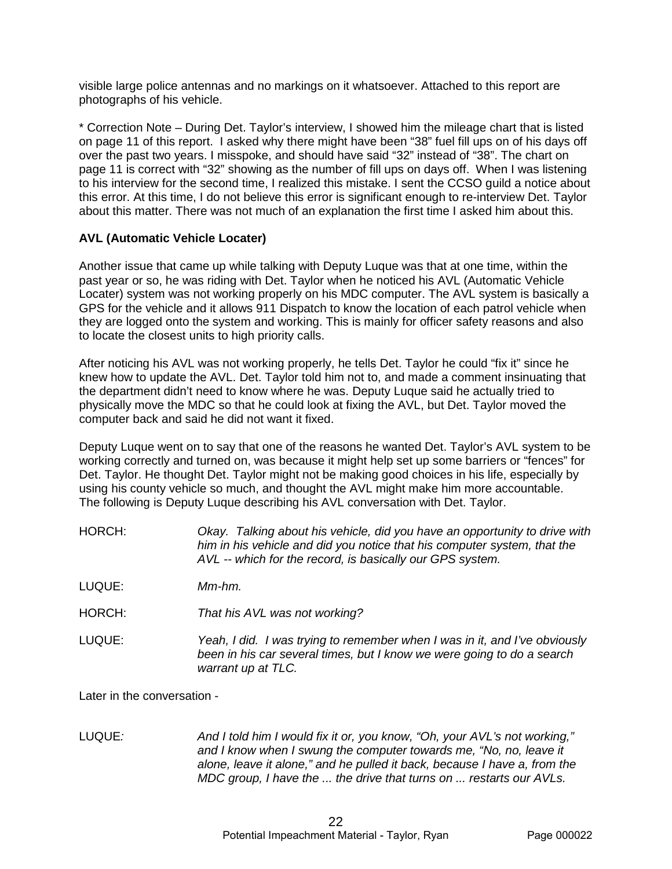visible large police antennas and no markings on it whatsoever. Attached to this report are photographs of his vehicle.

\* Correction Note – During Det. Taylor's interview, I showed him the mileage chart that is listed on page 11 of this report. I asked why there might have been "38" fuel fill ups on of his days off over the past two years. I misspoke, and should have said "32" instead of "38". The chart on page 11 is correct with "32" showing as the number of fill ups on days off. When I was listening to his interview for the second time, I realized this mistake. I sent the CCSO guild a notice about this error. At this time, I do not believe this error is significant enough to re-interview Det. Taylor about this matter. There was not much of an explanation the first time I asked him about this.

# **AVL (Automatic Vehicle Locater)**

Another issue that came up while talking with Deputy Luque was that at one time, within the past year or so, he was riding with Det. Taylor when he noticed his AVL (Automatic Vehicle Locater) system was not working properly on his MDC computer. The AVL system is basically a GPS for the vehicle and it allows 911 Dispatch to know the location of each patrol vehicle when they are logged onto the system and working. This is mainly for officer safety reasons and also to locate the closest units to high priority calls.

After noticing his AVL was not working properly, he tells Det. Taylor he could "fix it" since he knew how to update the AVL. Det. Taylor told him not to, and made a comment insinuating that the department didn't need to know where he was. Deputy Luque said he actually tried to physically move the MDC so that he could look at fixing the AVL, but Det. Taylor moved the computer back and said he did not want it fixed.

Deputy Luque went on to say that one of the reasons he wanted Det. Taylor's AVL system to be working correctly and turned on, was because it might help set up some barriers or "fences" for Det. Taylor. He thought Det. Taylor might not be making good choices in his life, especially by using his county vehicle so much, and thought the AVL might make him more accountable. The following is Deputy Luque describing his AVL conversation with Det. Taylor.

| HORCH: | Okay. Talking about his vehicle, did you have an opportunity to drive with<br>him in his vehicle and did you notice that his computer system, that the<br>AVL -- which for the record, is basically our GPS system. |
|--------|---------------------------------------------------------------------------------------------------------------------------------------------------------------------------------------------------------------------|
| LUQUE: | Mm-hm.                                                                                                                                                                                                              |
| HORCH: | That his AVL was not working?                                                                                                                                                                                       |
| LUQUE: | Yeah. I did. I was trving to remember when I was in it, and I've obviously                                                                                                                                          |

LUQUE: *Yeah, I did. I was trying to remember when I was in it, and I've obviously been in his car several times, but I know we were going to do a search warrant up at TLC.*

Later in the conversation -

LUQUE*: And I told him I would fix it or, you know, "Oh, your AVL's not working," and I know when I swung the computer towards me, "No, no, leave it alone, leave it alone," and he pulled it back, because I have a, from the MDC group, I have the ... the drive that turns on ... restarts our AVLs.*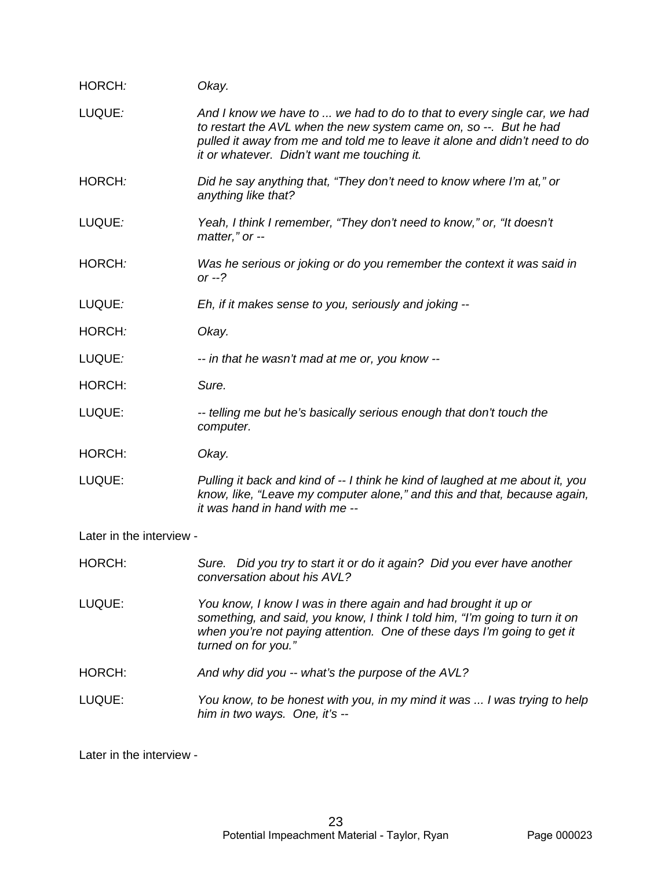| HORCH:                   | Okay.                                                                                                                                                                                                                                                                     |
|--------------------------|---------------------------------------------------------------------------------------------------------------------------------------------------------------------------------------------------------------------------------------------------------------------------|
| LUQUE:                   | And I know we have to  we had to do to that to every single car, we had<br>to restart the AVL when the new system came on, so --. But he had<br>pulled it away from me and told me to leave it alone and didn't need to do<br>it or whatever. Didn't want me touching it. |
| HORCH:                   | Did he say anything that, "They don't need to know where I'm at," or<br>anything like that?                                                                                                                                                                               |
| LUQUE:                   | Yeah, I think I remember, "They don't need to know," or, "It doesn't<br>matter," or --                                                                                                                                                                                    |
| HORCH:                   | Was he serious or joking or do you remember the context it was said in<br>or $-2$                                                                                                                                                                                         |
| LUQUE:                   | Eh, if it makes sense to you, seriously and joking --                                                                                                                                                                                                                     |
| HORCH:                   | Okay.                                                                                                                                                                                                                                                                     |
| LUQUE:                   | -- in that he wasn't mad at me or, you know --                                                                                                                                                                                                                            |
| HORCH:                   | Sure.                                                                                                                                                                                                                                                                     |
| LUQUE:                   | -- telling me but he's basically serious enough that don't touch the<br>computer.                                                                                                                                                                                         |
| HORCH:                   | Okay.                                                                                                                                                                                                                                                                     |
| LUQUE:                   | Pulling it back and kind of -- I think he kind of laughed at me about it, you<br>know, like, "Leave my computer alone," and this and that, because again,<br>it was hand in hand with me --                                                                               |
| Later in the interview - |                                                                                                                                                                                                                                                                           |
| HORCH:                   | Sure. Did you try to start it or do it again? Did you ever have another<br>conversation about his AVL?                                                                                                                                                                    |

LUQUE: *You know, I know I was in there again and had brought it up or something, and said, you know, I think I told him, "I'm going to turn it on when you're not paying attention. One of these days I'm going to get it turned on for you."*

- HORCH: *And why did you -- what's the purpose of the AVL?*
- LUQUE: *You know, to be honest with you, in my mind it was ... I was trying to help him in two ways. One, it's --*

Later in the interview -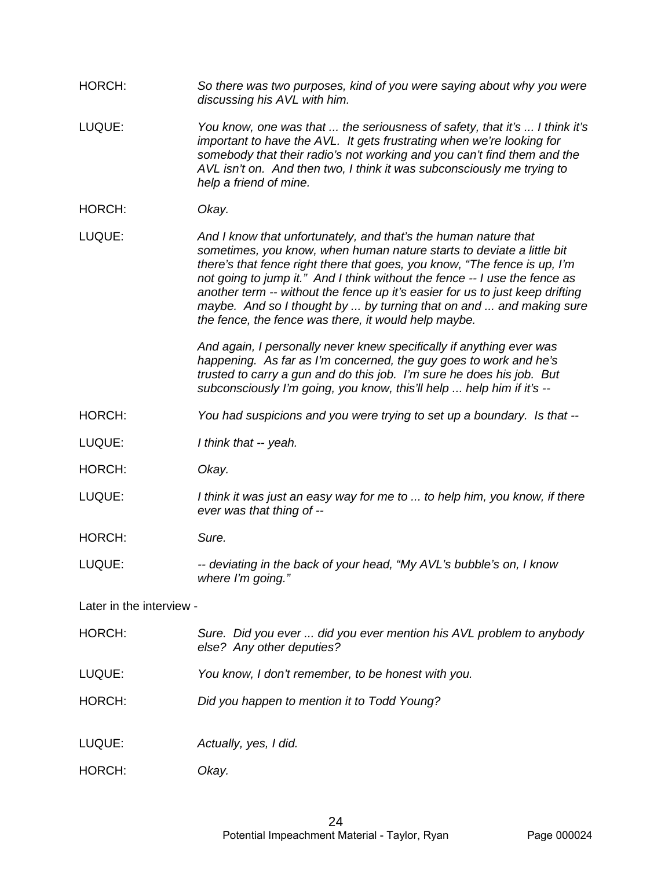| HORCH: | So there was two purposes, kind of you were saying about why you were |
|--------|-----------------------------------------------------------------------|
|        | discussing his AVL with him.                                          |

- LUQUE: *You know, one was that ... the seriousness of safety, that it's ... I think it's important to have the AVL. It gets frustrating when we're looking for somebody that their radio's not working and you can't find them and the AVL isn't on. And then two, I think it was subconsciously me trying to help a friend of mine.*
- HORCH: *Okay.*

LUQUE: *And I know that unfortunately, and that's the human nature that sometimes, you know, when human nature starts to deviate a little bit there's that fence right there that goes, you know, "The fence is up, I'm not going to jump it." And I think without the fence -- I use the fence as another term -- without the fence up it's easier for us to just keep drifting maybe. And so I thought by ... by turning that on and ... and making sure the fence, the fence was there, it would help maybe.*

> *And again, I personally never knew specifically if anything ever was happening. As far as I'm concerned, the guy goes to work and he's trusted to carry a gun and do this job. I'm sure he does his job. But subconsciously I'm going, you know, this'll help ... help him if it's --*

- HORCH: *You had suspicions and you were trying to set up a boundary. Is that --*
- LUQUE: *I think that -- yeah.*
- HORCH: *Okay.*
- LUQUE: *I think it was just an easy way for me to ... to help him, you know, if there ever was that thing of --*

HORCH: *Sure.*

LUQUE: *-- deviating in the back of your head, "My AVL's bubble's on, I know where I'm going."*

Later in the interview -

- HORCH: *Sure. Did you ever ... did you ever mention his AVL problem to anybody else? Any other deputies?*
- LUQUE: *You know, I don't remember, to be honest with you.*
- HORCH: *Did you happen to mention it to Todd Young?*
- LUQUE: *Actually, yes, I did.*
- HORCH: *Okay.*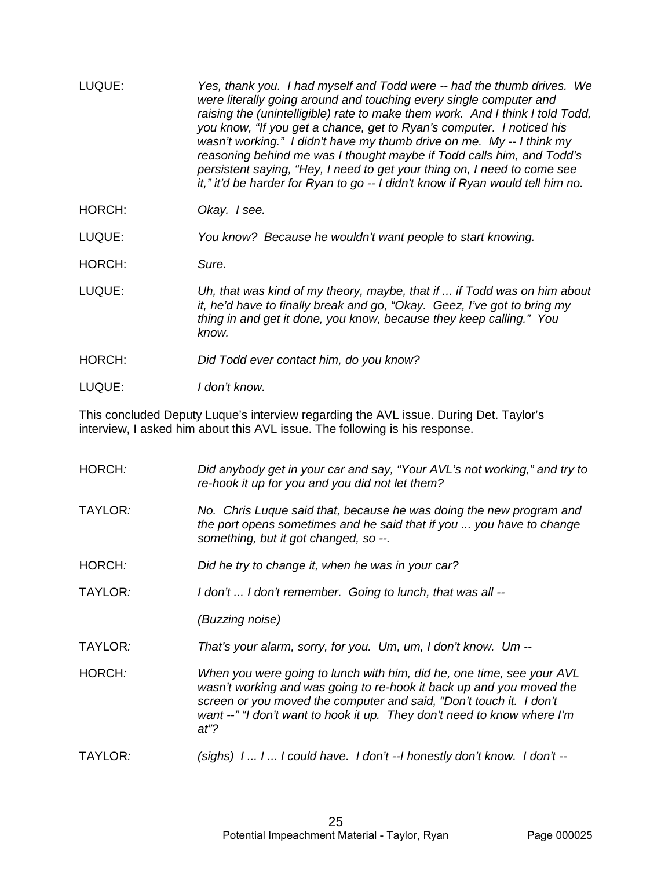| LUQUE: | Yes, thank you. I had myself and Todd were -- had the thumb drives. We<br>were literally going around and touching every single computer and<br>raising the (unintelligible) rate to make them work. And I think I told Todd,<br>you know, "If you get a chance, get to Ryan's computer. I noticed his<br>wasn't working." I didn't have my thumb drive on me. My -- I think my<br>reasoning behind me was I thought maybe if Todd calls him, and Todd's<br>persistent saying, "Hey, I need to get your thing on, I need to come see<br>it," it'd be harder for Ryan to go -- I didn't know if Ryan would tell him no. |
|--------|------------------------------------------------------------------------------------------------------------------------------------------------------------------------------------------------------------------------------------------------------------------------------------------------------------------------------------------------------------------------------------------------------------------------------------------------------------------------------------------------------------------------------------------------------------------------------------------------------------------------|
| HORCH: | Okay. I see.                                                                                                                                                                                                                                                                                                                                                                                                                                                                                                                                                                                                           |
| LUQUE: | You know? Because he wouldn't want people to start knowing.                                                                                                                                                                                                                                                                                                                                                                                                                                                                                                                                                            |
| HORCH: | Sure.                                                                                                                                                                                                                                                                                                                                                                                                                                                                                                                                                                                                                  |
| LUQUE: | Uh, that was kind of my theory, maybe, that if  if Todd was on him about<br>it, he'd have to finally break and go, "Okay. Geez, I've got to bring my<br>thing in and get it done, you know, because they keep calling." You<br>know.                                                                                                                                                                                                                                                                                                                                                                                   |
| HORCH: | Did Todd ever contact him, do you know?                                                                                                                                                                                                                                                                                                                                                                                                                                                                                                                                                                                |
|        |                                                                                                                                                                                                                                                                                                                                                                                                                                                                                                                                                                                                                        |

LUQUE: *I don't know.*

This concluded Deputy Luque's interview regarding the AVL issue. During Det. Taylor's interview, I asked him about this AVL issue. The following is his response.

| HORCH:  | Did anybody get in your car and say, "Your AVL's not working," and try to<br>re-hook it up for you and you did not let them?                                                                                                                                                                              |
|---------|-----------------------------------------------------------------------------------------------------------------------------------------------------------------------------------------------------------------------------------------------------------------------------------------------------------|
| TAYLOR: | No. Chris Luque said that, because he was doing the new program and<br>the port opens sometimes and he said that if you  you have to change<br>something, but it got changed, so --.                                                                                                                      |
| HORCH:  | Did he try to change it, when he was in your car?                                                                                                                                                                                                                                                         |
| TAYLOR: | I don't  I don't remember. Going to lunch, that was all --                                                                                                                                                                                                                                                |
|         | (Buzzing noise)                                                                                                                                                                                                                                                                                           |
| TAYLOR: | That's your alarm, sorry, for you. Um, um, I don't know. Um --                                                                                                                                                                                                                                            |
| HORCH:  | When you were going to lunch with him, did he, one time, see your AVL<br>wasn't working and was going to re-hook it back up and you moved the<br>screen or you moved the computer and said, "Don't touch it. I don't<br>want --" "I don't want to hook it up. They don't need to know where I'm<br>$at$ ? |
| TAYLOR: | $(sighs) 111$ could have. I don't $-1$ honestly don't know. I don't $-$                                                                                                                                                                                                                                   |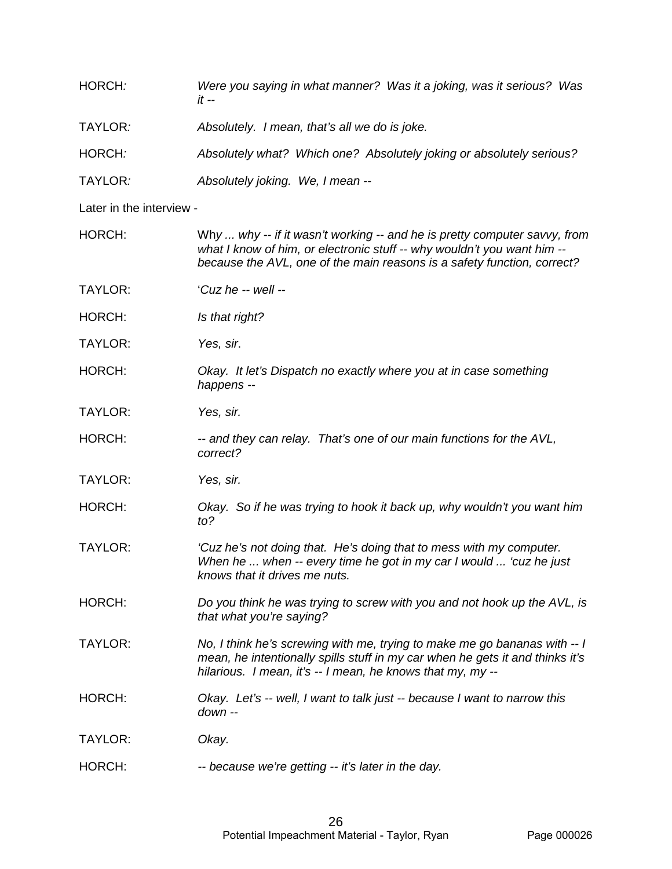| HORCH:                   | Were you saying in what manner? Was it a joking, was it serious? Was<br>it -- |
|--------------------------|-------------------------------------------------------------------------------|
| TAYLOR <i>:</i>          | Absolutely. I mean, that's all we do is joke.                                 |
| HORCH:                   | Absolutely what? Which one? Absolutely joking or absolutely serious?          |
| TAYLOR <i>:</i>          | Absolutely joking. We, I mean --                                              |
| Later in the interview - |                                                                               |

| HORCH:         | Why  why -- if it wasn't working -- and he is pretty computer savvy, from<br>what I know of him, or electronic stuff -- why wouldn't you want him --<br>because the AVL, one of the main reasons is a safety function, correct? |
|----------------|---------------------------------------------------------------------------------------------------------------------------------------------------------------------------------------------------------------------------------|
| TAYLOR:        | 'Cuz he -- well --                                                                                                                                                                                                              |
| HORCH:         | Is that right?                                                                                                                                                                                                                  |
| <b>TAYLOR:</b> | Yes, sir.                                                                                                                                                                                                                       |
| HORCH:         | Okay. It let's Dispatch no exactly where you at in case something<br>happens --                                                                                                                                                 |
| TAYLOR:        | Yes, sir.                                                                                                                                                                                                                       |
| HORCH:         | -- and they can relay. That's one of our main functions for the AVL,<br>correct?                                                                                                                                                |
| TAYLOR:        | Yes, sir.                                                                                                                                                                                                                       |
| HORCH:         | Okay. So if he was trying to hook it back up, why wouldn't you want him<br>to?                                                                                                                                                  |
| <b>TAYLOR:</b> | 'Cuz he's not doing that. He's doing that to mess with my computer.<br>When he  when -- every time he got in my car I would  'cuz he just<br>knows that it drives me nuts.                                                      |
| HORCH:         | Do you think he was trying to screw with you and not hook up the AVL, is<br>that what you're saying?                                                                                                                            |
| <b>TAYLOR:</b> | No, I think he's screwing with me, trying to make me go bananas with -- I<br>mean, he intentionally spills stuff in my car when he gets it and thinks it's<br>hilarious. I mean, it's -- I mean, he knows that my, my --        |
| HORCH:         | Okay. Let's -- well, I want to talk just -- because I want to narrow this<br>down --                                                                                                                                            |
| TAYLOR:        | Okay.                                                                                                                                                                                                                           |
| HORCH:         | -- because we're getting -- it's later in the day.                                                                                                                                                                              |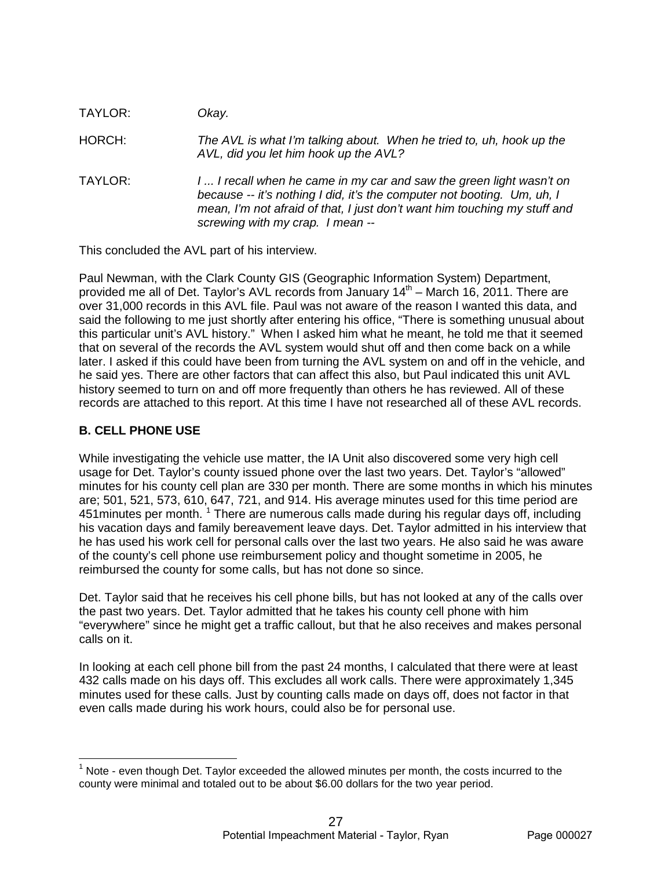| TAYLOR: | Okay.                                                                                                                                                                                                                                                            |
|---------|------------------------------------------------------------------------------------------------------------------------------------------------------------------------------------------------------------------------------------------------------------------|
| HORCH:  | The AVL is what I'm talking about. When he tried to, uh, hook up the<br>AVL, did you let him hook up the AVL?                                                                                                                                                    |
| TAYLOR: | I  I recall when he came in my car and saw the green light wasn't on<br>because -- it's nothing I did, it's the computer not booting. Um, uh, I<br>mean, I'm not afraid of that, I just don't want him touching my stuff and<br>screwing with my crap. I mean -- |

This concluded the AVL part of his interview.

Paul Newman, with the Clark County GIS (Geographic Information System) Department, provided me all of Det. Taylor's AVL records from January  $14<sup>th</sup>$  – March 16, 2011. There are over 31,000 records in this AVL file. Paul was not aware of the reason I wanted this data, and said the following to me just shortly after entering his office, "There is something unusual about this particular unit's AVL history." When I asked him what he meant, he told me that it seemed that on several of the records the AVL system would shut off and then come back on a while later. I asked if this could have been from turning the AVL system on and off in the vehicle, and he said yes. There are other factors that can affect this also, but Paul indicated this unit AVL history seemed to turn on and off more frequently than others he has reviewed. All of these records are attached to this report. At this time I have not researched all of these AVL records.

# **B. CELL PHONE USE**

While investigating the vehicle use matter, the IA Unit also discovered some very high cell usage for Det. Taylor's county issued phone over the last two years. Det. Taylor's "allowed" minutes for his county cell plan are 330 per month. There are some months in which his minutes are; 501, 521, 573, 610, 647, 721, and 914. His average minutes used for this time period are 451 minutes per month.  $1$  There are numerous calls made during his regular days off, including his vacation days and family bereavement leave days. Det. Taylor admitted in his interview that he has used his work cell for personal calls over the last two years. He also said he was aware of the county's cell phone use reimbursement policy and thought sometime in 2005, he reimbursed the county for some calls, but has not done so since.

Det. Taylor said that he receives his cell phone bills, but has not looked at any of the calls over the past two years. Det. Taylor admitted that he takes his county cell phone with him "everywhere" since he might get a traffic callout, but that he also receives and makes personal calls on it.

In looking at each cell phone bill from the past 24 months, I calculated that there were at least 432 calls made on his days off. This excludes all work calls. There were approximately 1,345 minutes used for these calls. Just by counting calls made on days off, does not factor in that even calls made during his work hours, could also be for personal use.

 $<sup>1</sup>$  Note - even though Det. Taylor exceeded the allowed minutes per month, the costs incurred to the</sup> county were minimal and totaled out to be about \$6.00 dollars for the two year period.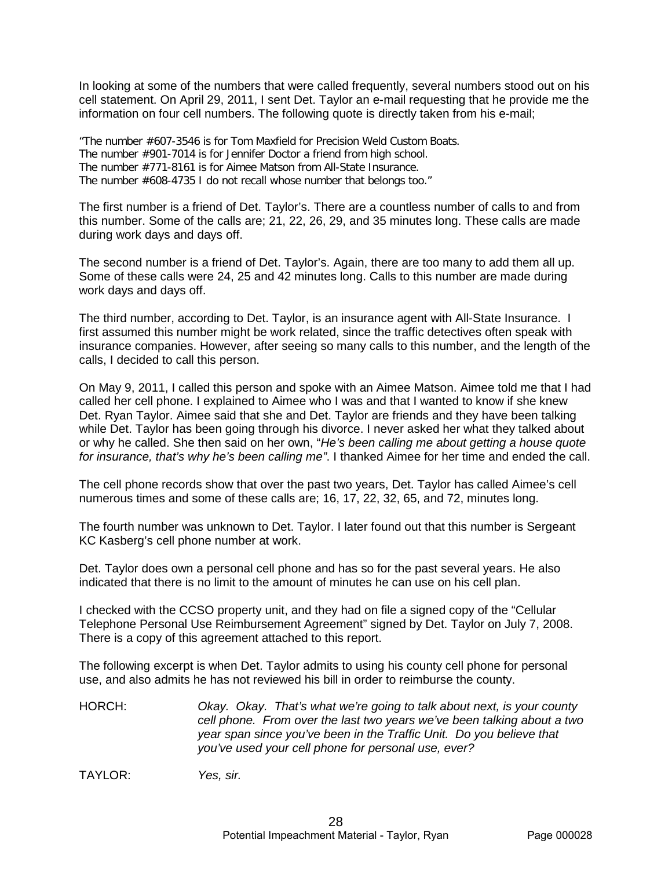In looking at some of the numbers that were called frequently, several numbers stood out on his cell statement. On April 29, 2011, I sent Det. Taylor an e-mail requesting that he provide me the information on four cell numbers. The following quote is directly taken from his e-mail;

"The number #607-3546 is for Tom Maxfield for Precision Weld Custom Boats. The number #901-7014 is for Jennifer Doctor a friend from high school. The number #771-8161 is for Aimee Matson from All-State Insurance. The number #608-4735 I do not recall whose number that belongs too."

The first number is a friend of Det. Taylor's. There are a countless number of calls to and from this number. Some of the calls are; 21, 22, 26, 29, and 35 minutes long. These calls are made during work days and days off.

The second number is a friend of Det. Taylor's. Again, there are too many to add them all up. Some of these calls were 24, 25 and 42 minutes long. Calls to this number are made during work days and days off.

The third number, according to Det. Taylor, is an insurance agent with All-State Insurance. I first assumed this number might be work related, since the traffic detectives often speak with insurance companies. However, after seeing so many calls to this number, and the length of the calls, I decided to call this person.

On May 9, 2011, I called this person and spoke with an Aimee Matson. Aimee told me that I had called her cell phone. I explained to Aimee who I was and that I wanted to know if she knew Det. Ryan Taylor. Aimee said that she and Det. Taylor are friends and they have been talking while Det. Taylor has been going through his divorce. I never asked her what they talked about or why he called. She then said on her own, "*He's been calling me about getting a house quote for insurance, that's why he's been calling me"*. I thanked Aimee for her time and ended the call.

The cell phone records show that over the past two years, Det. Taylor has called Aimee's cell numerous times and some of these calls are; 16, 17, 22, 32, 65, and 72, minutes long.

The fourth number was unknown to Det. Taylor. I later found out that this number is Sergeant KC Kasberg's cell phone number at work.

Det. Taylor does own a personal cell phone and has so for the past several years. He also indicated that there is no limit to the amount of minutes he can use on his cell plan.

I checked with the CCSO property unit, and they had on file a signed copy of the "Cellular Telephone Personal Use Reimbursement Agreement" signed by Det. Taylor on July 7, 2008. There is a copy of this agreement attached to this report.

The following excerpt is when Det. Taylor admits to using his county cell phone for personal use, and also admits he has not reviewed his bill in order to reimburse the county.

HORCH: *Okay. Okay. That's what we're going to talk about next, is your county cell phone. From over the last two years we've been talking about a two year span since you've been in the Traffic Unit. Do you believe that you've used your cell phone for personal use, ever?*

TAYLOR: *Yes, sir.*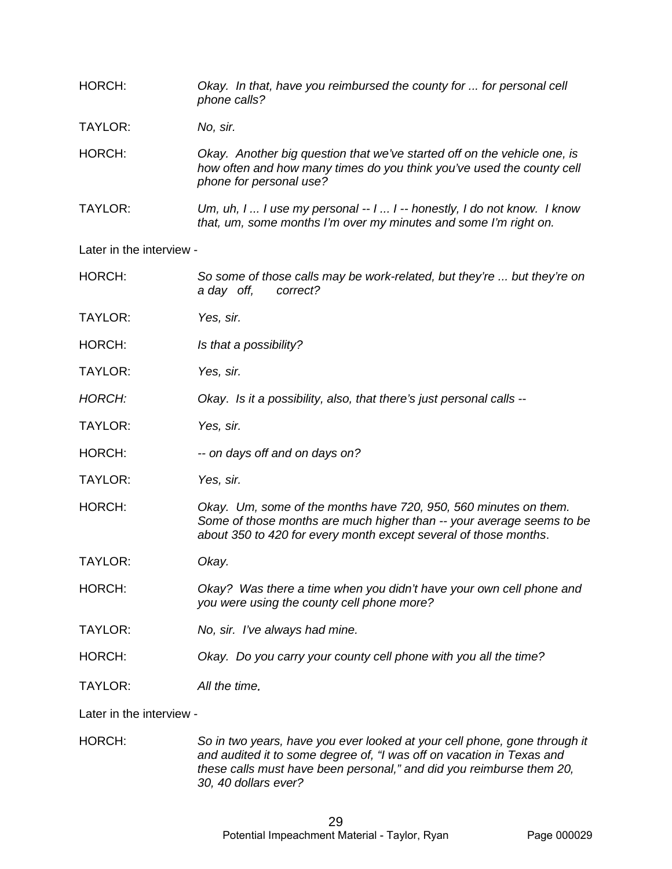| HORCH:                   | Okay. In that, have you reimbursed the county for  for personal cell<br>phone calls?                                                                                                                          |
|--------------------------|---------------------------------------------------------------------------------------------------------------------------------------------------------------------------------------------------------------|
| TAYLOR:                  | No, sir.                                                                                                                                                                                                      |
| HORCH:                   | Okay. Another big question that we've started off on the vehicle one, is<br>how often and how many times do you think you've used the county cell<br>phone for personal use?                                  |
| TAYLOR:                  | Um, uh, I  I use my personal $-1$ I $-$ honestly, I do not know. I know<br>that, um, some months I'm over my minutes and some I'm right on.                                                                   |
| Later in the interview - |                                                                                                                                                                                                               |
| HORCH:                   | So some of those calls may be work-related, but they're  but they're on<br>a day off,<br>correct?                                                                                                             |
| <b>TAYLOR:</b>           | Yes, sir.                                                                                                                                                                                                     |
| HORCH:                   | Is that a possibility?                                                                                                                                                                                        |
| TAYLOR:                  | Yes, sir.                                                                                                                                                                                                     |
| <b>HORCH:</b>            | Okay. Is it a possibility, also, that there's just personal calls --                                                                                                                                          |
| <b>TAYLOR:</b>           | Yes, sir.                                                                                                                                                                                                     |
| HORCH:                   | -- on days off and on days on?                                                                                                                                                                                |
| TAYLOR:                  | Yes, sir.                                                                                                                                                                                                     |
| HORCH:                   | Okay. Um, some of the months have 720, 950, 560 minutes on them.<br>Some of those months are much higher than -- your average seems to be<br>about 350 to 420 for every month except several of those months. |
| TAYLOR:                  | Okay.                                                                                                                                                                                                         |
| HORCH:                   | Okay? Was there a time when you didn't have your own cell phone and<br>you were using the county cell phone more?                                                                                             |
| <b>TAYLOR:</b>           | No, sir. I've always had mine.                                                                                                                                                                                |
| HORCH:                   | Okay. Do you carry your county cell phone with you all the time?                                                                                                                                              |
| TAYLOR:                  | All the time.                                                                                                                                                                                                 |
| Later in the interview - |                                                                                                                                                                                                               |
| HUBLH.                   | So in two years, have you ever looked at your call phone, gone through it                                                                                                                                     |

HORCH: *So in two years, have you ever looked at your cell phone, gone through it and audited it to some degree of, "I was off on vacation in Texas and these calls must have been personal," and did you reimburse them 20, 30, 40 dollars ever?*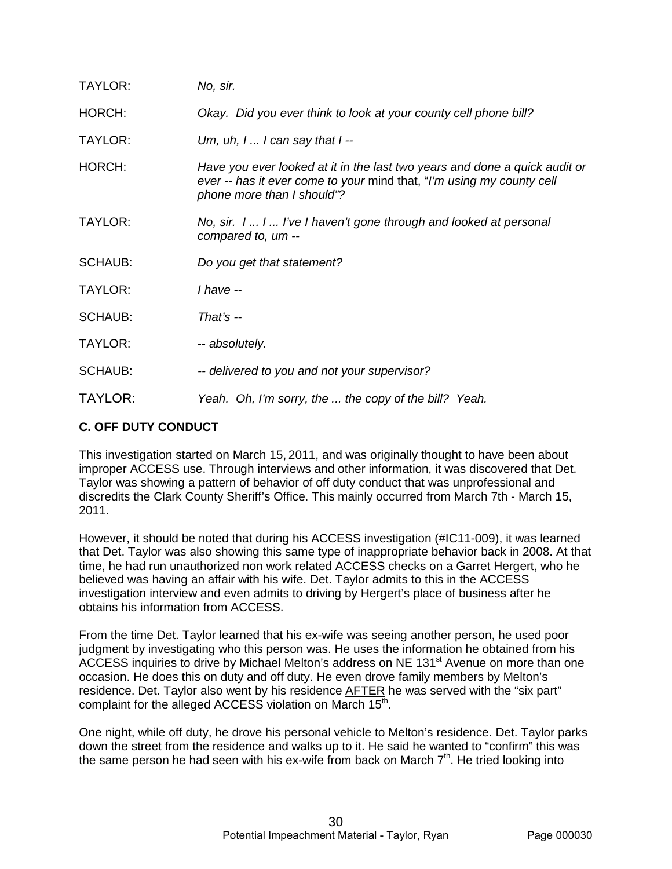| TAYLOR:        | No, sir.                                                                                                                                                                          |
|----------------|-----------------------------------------------------------------------------------------------------------------------------------------------------------------------------------|
| HORCH:         | Okay. Did you ever think to look at your county cell phone bill?                                                                                                                  |
| TAYLOR:        | Um, uh, $l$ I can say that $l-$                                                                                                                                                   |
| HORCH:         | Have you ever looked at it in the last two years and done a quick audit or<br>ever -- has it ever come to your mind that, "I'm using my county cell<br>phone more than I should"? |
| TAYLOR:        | No, sir. 1 1 I've I haven't gone through and looked at personal<br>compared to, um --                                                                                             |
| <b>SCHAUB:</b> | Do you get that statement?                                                                                                                                                        |
| TAYLOR:        | $I$ have $-I$                                                                                                                                                                     |
| <b>SCHAUB:</b> | That's $-$                                                                                                                                                                        |
| TAYLOR:        | -- absolutely.                                                                                                                                                                    |
| <b>SCHAUB:</b> | -- delivered to you and not your supervisor?                                                                                                                                      |
| TAYLOR:        | Yeah. Oh, I'm sorry, the  the copy of the bill? Yeah.                                                                                                                             |

# **C. OFF DUTY CONDUCT**

This investigation started on March 15, 2011, and was originally thought to have been about improper ACCESS use. Through interviews and other information, it was discovered that Det. Taylor was showing a pattern of behavior of off duty conduct that was unprofessional and discredits the Clark County Sheriff's Office. This mainly occurred from March 7th - March 15, 2011.

However, it should be noted that during his ACCESS investigation (#IC11-009), it was learned that Det. Taylor was also showing this same type of inappropriate behavior back in 2008. At that time, he had run unauthorized non work related ACCESS checks on a Garret Hergert, who he believed was having an affair with his wife. Det. Taylor admits to this in the ACCESS investigation interview and even admits to driving by Hergert's place of business after he obtains his information from ACCESS.

From the time Det. Taylor learned that his ex-wife was seeing another person, he used poor judgment by investigating who this person was. He uses the information he obtained from his ACCESS inquiries to drive by Michael Melton's address on NE 131<sup>st</sup> Avenue on more than one occasion. He does this on duty and off duty. He even drove family members by Melton's residence. Det. Taylor also went by his residence AFTER he was served with the "six part" complaint for the alleged ACCESS violation on March 15<sup>th</sup>.

One night, while off duty, he drove his personal vehicle to Melton's residence. Det. Taylor parks down the street from the residence and walks up to it. He said he wanted to "confirm" this was the same person he had seen with his ex-wife from back on March  $7<sup>th</sup>$ . He tried looking into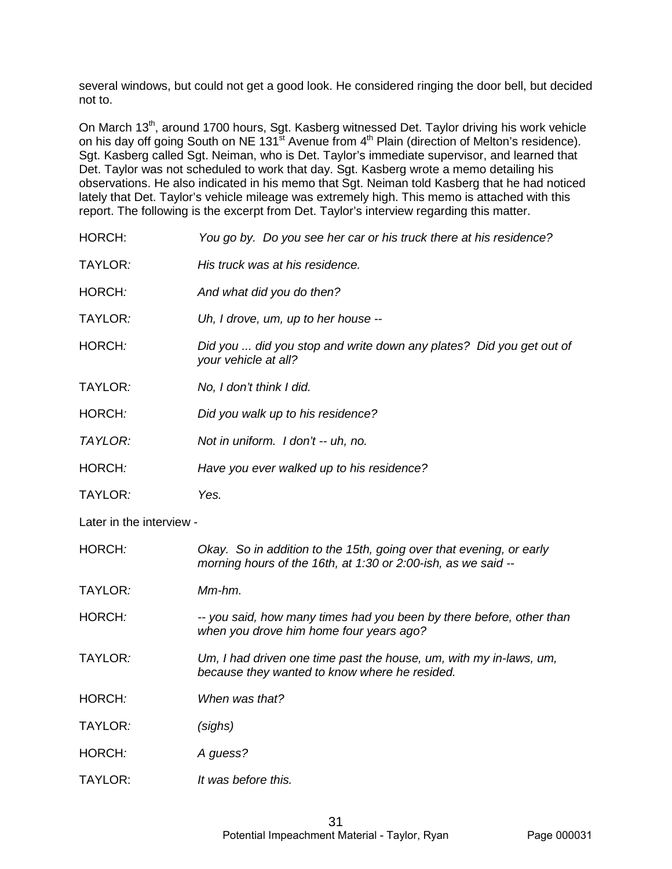several windows, but could not get a good look. He considered ringing the door bell, but decided not to.

On March 13<sup>th</sup>, around 1700 hours, Sgt. Kasberg witnessed Det. Taylor driving his work vehicle on his day off going South on NE 131<sup>st</sup> Avenue from 4<sup>th</sup> Plain (direction of Melton's residence). Sgt. Kasberg called Sgt. Neiman, who is Det. Taylor's immediate supervisor, and learned that Det. Taylor was not scheduled to work that day. Sgt. Kasberg wrote a memo detailing his observations. He also indicated in his memo that Sgt. Neiman told Kasberg that he had noticed lately that Det. Taylor's vehicle mileage was extremely high. This memo is attached with this report. The following is the excerpt from Det. Taylor's interview regarding this matter.

| HORCH:                   | You go by. Do you see her car or his truck there at his residence?                                                                   |
|--------------------------|--------------------------------------------------------------------------------------------------------------------------------------|
| TAYLOR:                  | His truck was at his residence.                                                                                                      |
| HORCH:                   | And what did you do then?                                                                                                            |
| TAYLOR:                  | Uh, I drove, um, up to her house --                                                                                                  |
| HORCH:                   | Did you  did you stop and write down any plates? Did you get out of<br>your vehicle at all?                                          |
| TAYLOR:                  | No, I don't think I did.                                                                                                             |
| HORCH:                   | Did you walk up to his residence?                                                                                                    |
| TAYLOR:                  | Not in uniform. I don't -- uh, no.                                                                                                   |
| HORCH:                   | Have you ever walked up to his residence?                                                                                            |
| TAYLOR:                  | Yes.                                                                                                                                 |
|                          |                                                                                                                                      |
| Later in the interview - |                                                                                                                                      |
| HORCH:                   | Okay. So in addition to the 15th, going over that evening, or early<br>morning hours of the 16th, at 1:30 or 2:00-ish, as we said -- |
| TAYLOR:                  | Mm-hm.                                                                                                                               |
| HORCH:                   | -- you said, how many times had you been by there before, other than<br>when you drove him home four years ago?                      |
| TAYLOR:                  | Um, I had driven one time past the house, um, with my in-laws, um,<br>because they wanted to know where he resided.                  |
| HORCH:                   | When was that?                                                                                                                       |
| TAYLOR:                  | (sighs)                                                                                                                              |
| HORCH:                   | A guess?                                                                                                                             |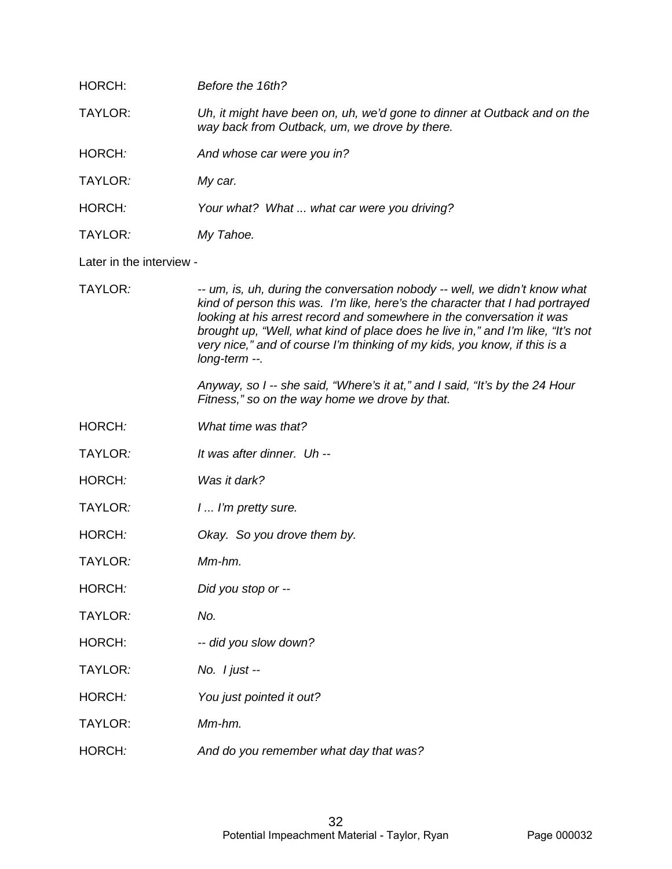| HORCH:                   | Before the 16th?                                                                                                                                                                                                                                                                                                                                                                                                     |
|--------------------------|----------------------------------------------------------------------------------------------------------------------------------------------------------------------------------------------------------------------------------------------------------------------------------------------------------------------------------------------------------------------------------------------------------------------|
| TAYLOR:                  | Uh, it might have been on, uh, we'd gone to dinner at Outback and on the<br>way back from Outback, um, we drove by there.                                                                                                                                                                                                                                                                                            |
| HORCH:                   | And whose car were you in?                                                                                                                                                                                                                                                                                                                                                                                           |
| TAYLOR:                  | My car.                                                                                                                                                                                                                                                                                                                                                                                                              |
| HORCH:                   | Your what? What  what car were you driving?                                                                                                                                                                                                                                                                                                                                                                          |
| TAYLOR:                  | My Tahoe.                                                                                                                                                                                                                                                                                                                                                                                                            |
| Later in the interview - |                                                                                                                                                                                                                                                                                                                                                                                                                      |
| TAYLOR:                  | -- um, is, uh, during the conversation nobody -- well, we didn't know what<br>kind of person this was. I'm like, here's the character that I had portrayed<br>looking at his arrest record and somewhere in the conversation it was<br>brought up, "Well, what kind of place does he live in," and I'm like, "It's not<br>very nice," and of course I'm thinking of my kids, you know, if this is a<br>long-term --. |
|                          | Anyway, so I -- she said, "Where's it at," and I said, "It's by the 24 Hour<br>Fitness," so on the way home we drove by that.                                                                                                                                                                                                                                                                                        |
| HORCH:                   | What time was that?                                                                                                                                                                                                                                                                                                                                                                                                  |
| TAYLOR:                  | It was after dinner. Uh --                                                                                                                                                                                                                                                                                                                                                                                           |
| HORCH:                   | Was it dark?                                                                                                                                                                                                                                                                                                                                                                                                         |
| TAYLOR:                  | 1 I'm pretty sure.                                                                                                                                                                                                                                                                                                                                                                                                   |
| HORCH:                   | Okay. So you drove them by.                                                                                                                                                                                                                                                                                                                                                                                          |
| TAYLOR:                  | Mm-hm.                                                                                                                                                                                                                                                                                                                                                                                                               |
| HORCH:                   | Did you stop or --                                                                                                                                                                                                                                                                                                                                                                                                   |
| TAYLOR:                  | No.                                                                                                                                                                                                                                                                                                                                                                                                                  |
| HORCH:                   | -- did you slow down?                                                                                                                                                                                                                                                                                                                                                                                                |
| TAYLOR:                  | No. $l$ just --                                                                                                                                                                                                                                                                                                                                                                                                      |
| HORCH:                   | You just pointed it out?                                                                                                                                                                                                                                                                                                                                                                                             |
| <b>TAYLOR:</b>           | Mm-hm.                                                                                                                                                                                                                                                                                                                                                                                                               |
| HORCH:                   | And do you remember what day that was?                                                                                                                                                                                                                                                                                                                                                                               |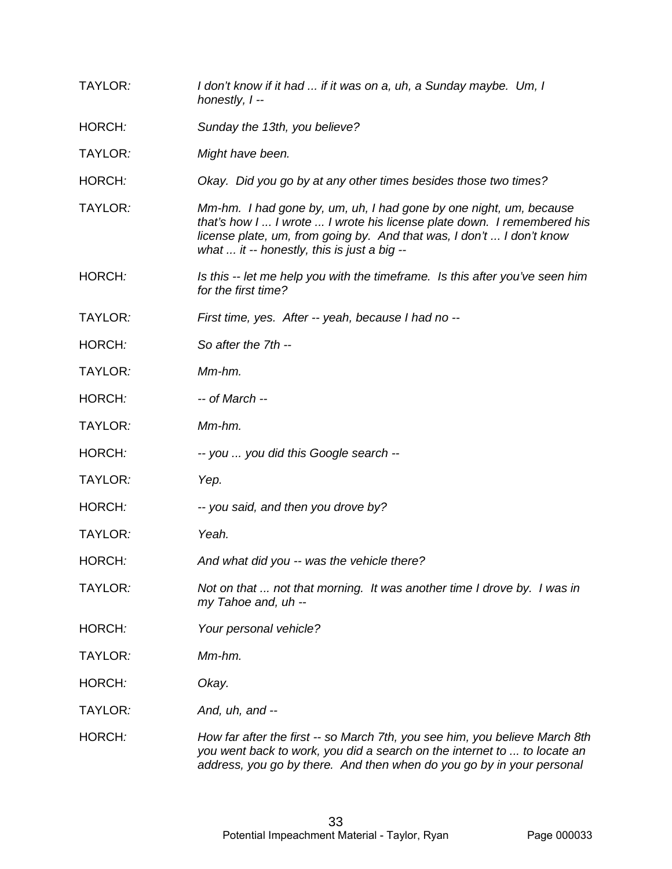TAYLOR*: I don't know if it had ... if it was on a, uh, a Sunday maybe. Um, I honestly, I --* HORCH*: Sunday the 13th, you believe?* TAYLOR*: Might have been.* HORCH*: Okay. Did you go by at any other times besides those two times?* TAYLOR*: Mm-hm. I had gone by, um, uh, I had gone by one night, um, because that's how I ... I wrote ... I wrote his license plate down. I remembered his license plate, um, from going by. And that was, I don't ... I don't know what ... it -- honestly, this is just a big --* HORCH*: Is this -- let me help you with the timeframe. Is this after you've seen him for the first time?* TAYLOR*: First time, yes. After -- yeah, because I had no --* HORCH*: So after the 7th --* TAYLOR*: Mm-hm.* HORCH*: -- of March --* TAYLOR*: Mm-hm.* HORCH*: -- you ... you did this Google search --* TAYLOR*: Yep.* HORCH*: -- you said, and then you drove by?* TAYLOR*: Yeah.* HORCH*: And what did you -- was the vehicle there?* TAYLOR*: Not on that ... not that morning. It was another time I drove by. I was in my Tahoe and, uh --* HORCH*: Your personal vehicle?* TAYLOR*: Mm-hm.* HORCH*: Okay.*  TAYLOR*: And, uh, and --* HORCH*: How far after the first -- so March 7th, you see him, you believe March 8th you went back to work, you did a search on the internet to ... to locate an address, you go by there. And then when do you go by in your personal*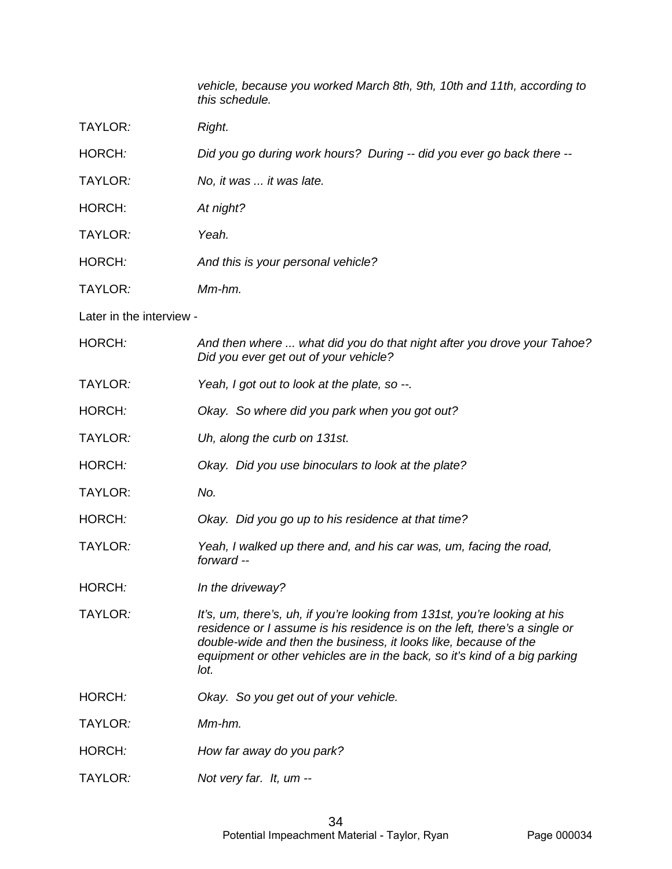*vehicle, because you worked March 8th, 9th, 10th and 11th, according to this schedule.* 

TAYLOR*: Right.* 

HORCH*: Did you go during work hours? During -- did you ever go back there --*

TAYLOR*: No, it was ... it was late.*

HORCH: *At night?*

TAYLOR*: Yeah.*

HORCH*: And this is your personal vehicle?*

TAYLOR*: Mm-hm.*

Later in the interview -

| HORCH:         | And then where  what did you do that night after you drove your Tahoe?<br>Did you ever get out of your vehicle?                                                                                                                                                                                                    |
|----------------|--------------------------------------------------------------------------------------------------------------------------------------------------------------------------------------------------------------------------------------------------------------------------------------------------------------------|
| TAYLOR:        | Yeah, I got out to look at the plate, so --.                                                                                                                                                                                                                                                                       |
| HORCH:         | Okay. So where did you park when you got out?                                                                                                                                                                                                                                                                      |
| TAYLOR:        | Uh, along the curb on 131st.                                                                                                                                                                                                                                                                                       |
| HORCH:         | Okay. Did you use binoculars to look at the plate?                                                                                                                                                                                                                                                                 |
| <b>TAYLOR:</b> | No.                                                                                                                                                                                                                                                                                                                |
| HORCH:         | Okay. Did you go up to his residence at that time?                                                                                                                                                                                                                                                                 |
| TAYLOR:        | Yeah, I walked up there and, and his car was, um, facing the road,<br>forward --                                                                                                                                                                                                                                   |
| HORCH:         | In the driveway?                                                                                                                                                                                                                                                                                                   |
| TAYLOR:        | It's, um, there's, uh, if you're looking from 131st, you're looking at his<br>residence or I assume is his residence is on the left, there's a single or<br>double-wide and then the business, it looks like, because of the<br>equipment or other vehicles are in the back, so it's kind of a big parking<br>lot. |
| HORCH:         | Okay. So you get out of your vehicle.                                                                                                                                                                                                                                                                              |
| TAYLOR:        | Mm-hm.                                                                                                                                                                                                                                                                                                             |
| HORCH:         | How far away do you park?                                                                                                                                                                                                                                                                                          |
| TAYLOR:        | Not very far. It, um --                                                                                                                                                                                                                                                                                            |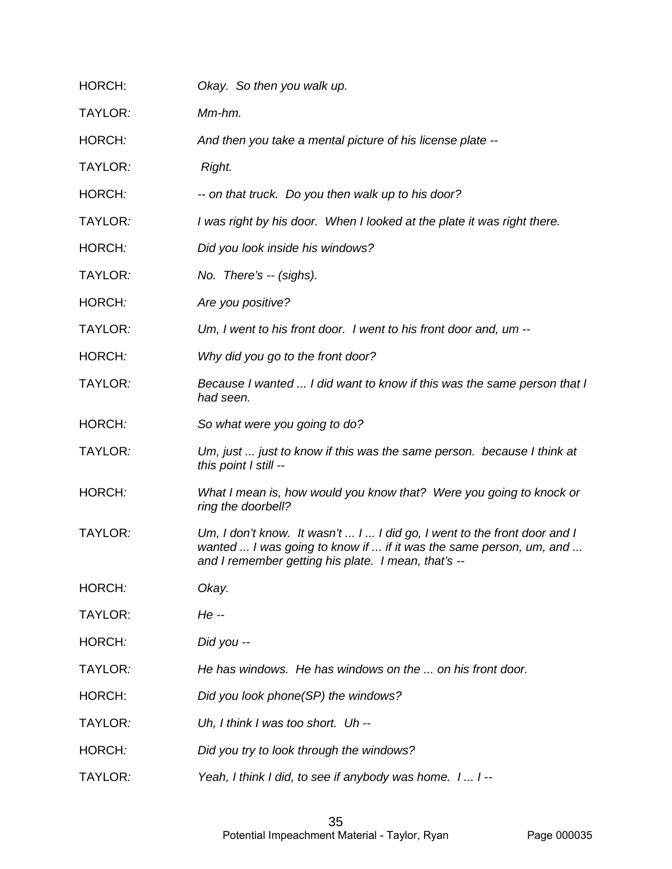| HORCH:  | Okay. So then you walk up.                                                                                                                                                                            |
|---------|-------------------------------------------------------------------------------------------------------------------------------------------------------------------------------------------------------|
| TAYLOR: | Mm-hm.                                                                                                                                                                                                |
| HORCH:  | And then you take a mental picture of his license plate --                                                                                                                                            |
| TAYLOR: | Right.                                                                                                                                                                                                |
| HORCH:  | -- on that truck. Do you then walk up to his door?                                                                                                                                                    |
| TAYLOR: | I was right by his door. When I looked at the plate it was right there.                                                                                                                               |
| HORCH:  | Did you look inside his windows?                                                                                                                                                                      |
| TAYLOR: | No. There's -- (sighs).                                                                                                                                                                               |
| HORCH:  | Are you positive?                                                                                                                                                                                     |
| TAYLOR: | Um, I went to his front door. I went to his front door and, um --                                                                                                                                     |
| HORCH:  | Why did you go to the front door?                                                                                                                                                                     |
| TAYLOR: | Because I wanted  I did want to know if this was the same person that I<br>had seen.                                                                                                                  |
| HORCH:  | So what were you going to do?                                                                                                                                                                         |
| TAYLOR: | Um, just  just to know if this was the same person. because I think at<br>this point I still --                                                                                                       |
| HORCH:  | What I mean is, how would you know that? Were you going to knock or<br>ring the doorbell?                                                                                                             |
| TAYLOR: | Um, I don't know. It wasn't  I  I did go, I went to the front door and I<br>wanted  I was going to know if  if it was the same person, um, and<br>and I remember getting his plate. I mean, that's -- |
| HORCH:  | Okay.                                                                                                                                                                                                 |
| TAYLOR: | He --                                                                                                                                                                                                 |
| HORCH:  | Did you --                                                                                                                                                                                            |
| TAYLOR: | He has windows. He has windows on the  on his front door.                                                                                                                                             |
| HORCH:  | Did you look phone(SP) the windows?                                                                                                                                                                   |
| TAYLOR: | Uh, I think I was too short. Uh --                                                                                                                                                                    |
| HORCH:  | Did you try to look through the windows?                                                                                                                                                              |
| TAYLOR: | Yeah, I think I did, to see if anybody was home. I  I --                                                                                                                                              |
|         |                                                                                                                                                                                                       |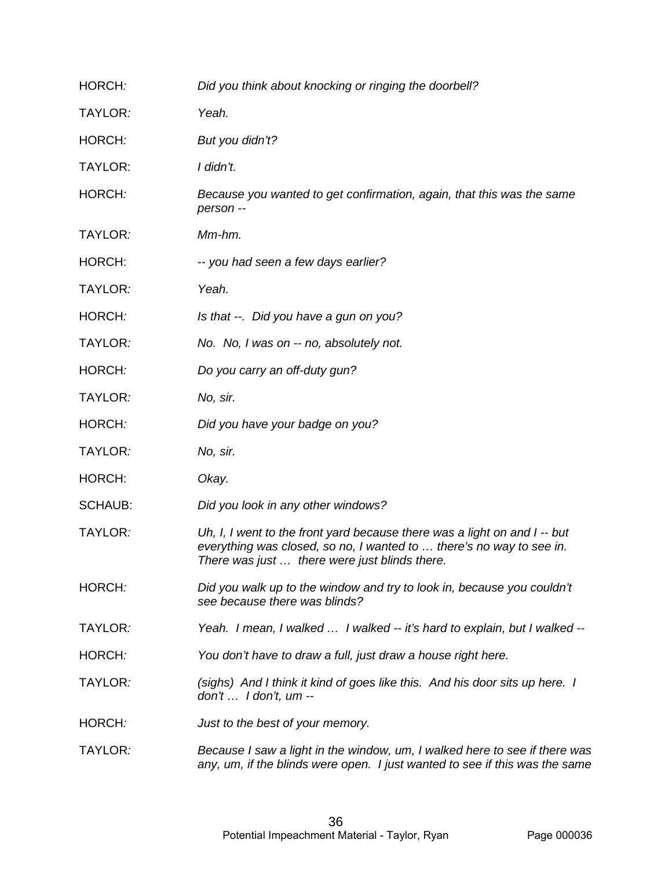| HORCH:         | Did you think about knocking or ringing the doorbell?                                                                                                                                              |
|----------------|----------------------------------------------------------------------------------------------------------------------------------------------------------------------------------------------------|
| TAYLOR:        | Yeah.                                                                                                                                                                                              |
| HORCH:         | But you didn't?                                                                                                                                                                                    |
| TAYLOR:        | I didn't.                                                                                                                                                                                          |
| HORCH:         | Because you wanted to get confirmation, again, that this was the same<br>person --                                                                                                                 |
| TAYLOR:        | Mm-hm.                                                                                                                                                                                             |
| HORCH:         | -- you had seen a few days earlier?                                                                                                                                                                |
| TAYLOR:        | Yeah.                                                                                                                                                                                              |
| HORCH:         | Is that --. Did you have a gun on you?                                                                                                                                                             |
| TAYLOR:        | No. No, I was on -- no, absolutely not.                                                                                                                                                            |
| HORCH:         | Do you carry an off-duty gun?                                                                                                                                                                      |
| TAYLOR:        | No, sir.                                                                                                                                                                                           |
| HORCH:         | Did you have your badge on you?                                                                                                                                                                    |
| TAYLOR:        | No, sir.                                                                                                                                                                                           |
| HORCH:         | Okay.                                                                                                                                                                                              |
| <b>SCHAUB:</b> | Did you look in any other windows?                                                                                                                                                                 |
| TAYLOR:        | Uh, I, I went to the front yard because there was a light on and I -- but<br>everything was closed, so no, I wanted to  there's no way to see in.<br>There was just  there were just blinds there. |
| HORCH:         | Did you walk up to the window and try to look in, because you couldn't<br>see because there was blinds?                                                                                            |
| TAYLOR:        | Yeah. I mean, I walked  I walked -- it's hard to explain, but I walked --                                                                                                                          |
| HORCH:         | You don't have to draw a full, just draw a house right here.                                                                                                                                       |
| TAYLOR:        | (sighs) And I think it kind of goes like this. And his door sits up here. I<br>$don't \ldots$ I don't, um --                                                                                       |
| HORCH:         | Just to the best of your memory.                                                                                                                                                                   |
| TAYLOR:        | Because I saw a light in the window, um, I walked here to see if there was<br>any, um, if the blinds were open. I just wanted to see if this was the same                                          |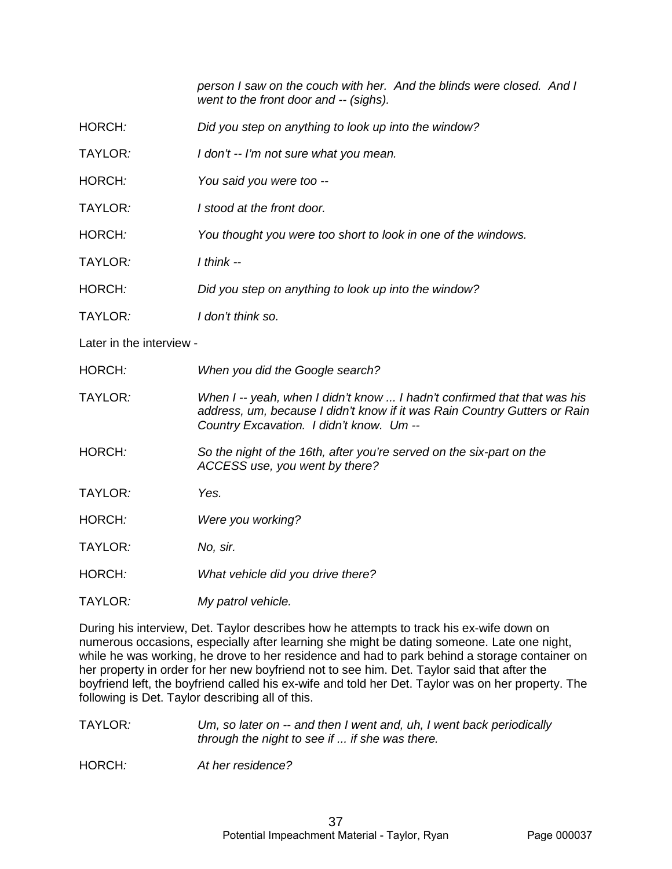*person I saw on the couch with her. And the blinds were closed. And I went to the front door and -- (sighs).*

- HORCH*: Did you step on anything to look up into the window?*
- TAYLOR*: I don't -- I'm not sure what you mean.*
- HORCH*: You said you were too --*
- TAYLOR*: I stood at the front door.*
- HORCH*: You thought you were too short to look in one of the windows.*
- TAYLOR*: I think --*
- HORCH*: Did you step on anything to look up into the window?*
- TAYLOR*: I don't think so.*
- Later in the interview -
- HORCH*: When you did the Google search?*
- TAYLOR*: When I -- yeah, when I didn't know ... I hadn't confirmed that that was his address, um, because I didn't know if it was Rain Country Gutters or Rain Country Excavation. I didn't know. Um --*
- HORCH*: So the night of the 16th, after you're served on the six-part on the ACCESS use, you went by there?*
- TAYLOR*: Yes.*
- HORCH*: Were you working?*
- TAYLOR*: No, sir.*
- HORCH*: What vehicle did you drive there?*
- TAYLOR*: My patrol vehicle.*

During his interview, Det. Taylor describes how he attempts to track his ex-wife down on numerous occasions, especially after learning she might be dating someone. Late one night, while he was working, he drove to her residence and had to park behind a storage container on her property in order for her new boyfriend not to see him. Det. Taylor said that after the boyfriend left, the boyfriend called his ex-wife and told her Det. Taylor was on her property. The following is Det. Taylor describing all of this.

- TAYLOR*: Um, so later on -- and then I went and, uh, I went back periodically through the night to see if ... if she was there.*
- HORCH*: At her residence?*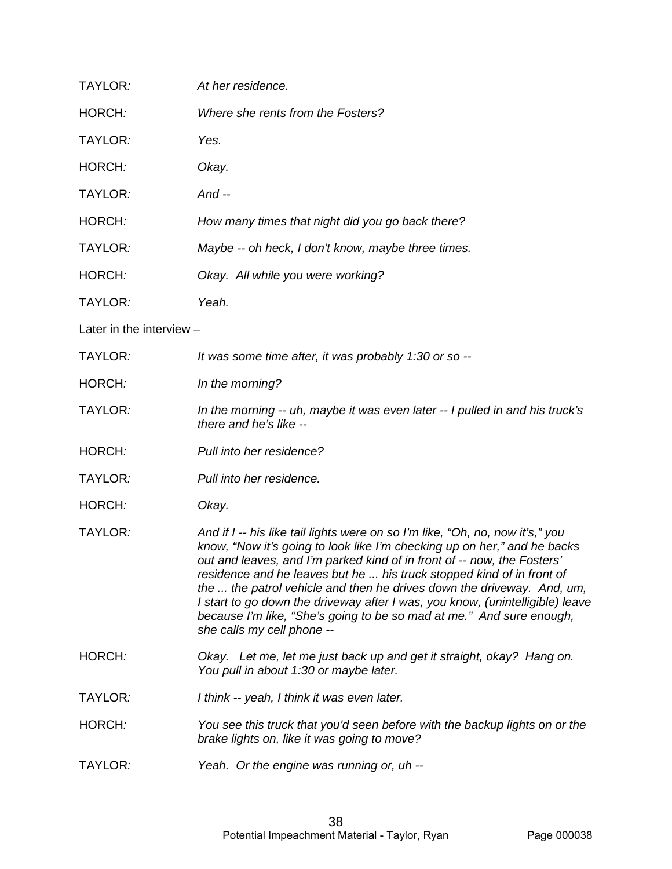| TAYLOR:                  | At her residence.                                                                                                                                                                                                                                                                                                                                                                                                                                                                                                                                                              |
|--------------------------|--------------------------------------------------------------------------------------------------------------------------------------------------------------------------------------------------------------------------------------------------------------------------------------------------------------------------------------------------------------------------------------------------------------------------------------------------------------------------------------------------------------------------------------------------------------------------------|
| HORCH:                   | Where she rents from the Fosters?                                                                                                                                                                                                                                                                                                                                                                                                                                                                                                                                              |
| TAYLOR:                  | Yes.                                                                                                                                                                                                                                                                                                                                                                                                                                                                                                                                                                           |
| HORCH:                   | Okay.                                                                                                                                                                                                                                                                                                                                                                                                                                                                                                                                                                          |
| TAYLOR:                  | And $-$                                                                                                                                                                                                                                                                                                                                                                                                                                                                                                                                                                        |
| HORCH:                   | How many times that night did you go back there?                                                                                                                                                                                                                                                                                                                                                                                                                                                                                                                               |
| TAYLOR:                  | Maybe -- oh heck, I don't know, maybe three times.                                                                                                                                                                                                                                                                                                                                                                                                                                                                                                                             |
| HORCH:                   | Okay. All while you were working?                                                                                                                                                                                                                                                                                                                                                                                                                                                                                                                                              |
| TAYLOR:                  | Yeah.                                                                                                                                                                                                                                                                                                                                                                                                                                                                                                                                                                          |
| Later in the interview - |                                                                                                                                                                                                                                                                                                                                                                                                                                                                                                                                                                                |
| TAYLOR:                  | It was some time after, it was probably 1:30 or so --                                                                                                                                                                                                                                                                                                                                                                                                                                                                                                                          |
| HORCH:                   | In the morning?                                                                                                                                                                                                                                                                                                                                                                                                                                                                                                                                                                |
| TAYLOR:                  | In the morning -- uh, maybe it was even later -- I pulled in and his truck's<br>there and he's like --                                                                                                                                                                                                                                                                                                                                                                                                                                                                         |
| HORCH:                   | Pull into her residence?                                                                                                                                                                                                                                                                                                                                                                                                                                                                                                                                                       |
| TAYLOR:                  | Pull into her residence.                                                                                                                                                                                                                                                                                                                                                                                                                                                                                                                                                       |
| HORCH:                   | Okay.                                                                                                                                                                                                                                                                                                                                                                                                                                                                                                                                                                          |
| TAYLOR:                  | And if I -- his like tail lights were on so I'm like, "Oh, no, now it's," you<br>know, "Now it's going to look like I'm checking up on her," and he backs<br>out and leaves, and I'm parked kind of in front of -- now, the Fosters'<br>residence and he leaves but he  his truck stopped kind of in front of<br>the  the patrol vehicle and then he drives down the driveway. And, um,<br>I start to go down the driveway after I was, you know, (unintelligible) leave<br>because I'm like, "She's going to be so mad at me." And sure enough,<br>she calls my cell phone -- |
| HORCH:                   | Okay. Let me, let me just back up and get it straight, okay? Hang on.<br>You pull in about 1:30 or maybe later.                                                                                                                                                                                                                                                                                                                                                                                                                                                                |
| TAYLOR:                  | I think -- yeah, I think it was even later.                                                                                                                                                                                                                                                                                                                                                                                                                                                                                                                                    |
| HORCH:                   | You see this truck that you'd seen before with the backup lights on or the<br>brake lights on, like it was going to move?                                                                                                                                                                                                                                                                                                                                                                                                                                                      |
| TAYLOR:                  | Yeah. Or the engine was running or, uh --                                                                                                                                                                                                                                                                                                                                                                                                                                                                                                                                      |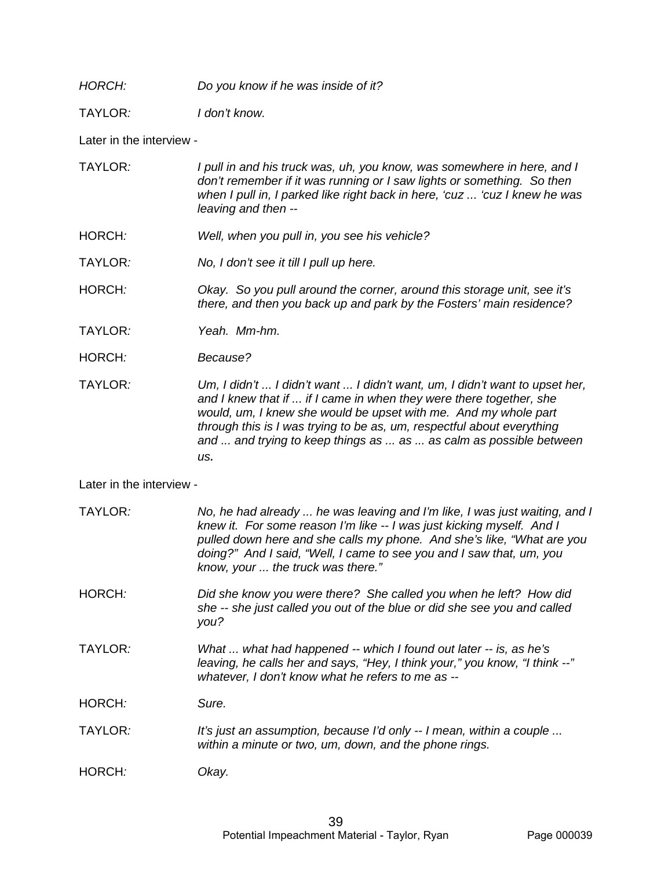*HORCH: Do you know if he was inside of it?*

TAYLOR*: I don't know.*

Later in the interview -

| TAYLOR: | I pull in and his truck was, uh, you know, was somewhere in here, and I<br>don't remember if it was running or I saw lights or something. So then<br>when I pull in, I parked like right back in here, 'cuz  'cuz I knew he was |
|---------|---------------------------------------------------------------------------------------------------------------------------------------------------------------------------------------------------------------------------------|
|         | leaving and then --                                                                                                                                                                                                             |

- HORCH*: Well, when you pull in, you see his vehicle?*
- TAYLOR*: No, I don't see it till I pull up here.*

HORCH*: Okay. So you pull around the corner, around this storage unit, see it's there, and then you back up and park by the Fosters' main residence?*

- TAYLOR*: Yeah. Mm-hm.*
- HORCH*: Because?*

TAYLOR*: Um, I didn't ... I didn't want ... I didn't want, um, I didn't want to upset her, and I knew that if ... if I came in when they were there together, she would, um, I knew she would be upset with me. And my whole part through this is I was trying to be as, um, respectful about everything and ... and trying to keep things as ... as ... as calm as possible between us.* 

Later in the interview -

| TAYLOR: | No, he had already  he was leaving and I'm like, I was just waiting, and I<br>knew it. For some reason I'm like -- I was just kicking myself. And I<br>pulled down here and she calls my phone. And she's like, "What are you<br>doing?" And I said, "Well, I came to see you and I saw that, um, you<br>know, your  the truck was there." |
|---------|--------------------------------------------------------------------------------------------------------------------------------------------------------------------------------------------------------------------------------------------------------------------------------------------------------------------------------------------|
| HORCH:  | Did she know you were there? She called you when he left? How did<br>she -- she just called you out of the blue or did she see you and called<br>you?                                                                                                                                                                                      |
| TAYLOR: | What  what had happened -- which I found out later -- is, as he's<br>leaving, he calls her and says, "Hey, I think your," you know, "I think --"<br>whatever, I don't know what he refers to me as --                                                                                                                                      |
| HORCH:  | Sure.                                                                                                                                                                                                                                                                                                                                      |
| TAYLOR: | It's just an assumption, because I'd only -- I mean, within a couple<br>within a minute or two, um, down, and the phone rings.                                                                                                                                                                                                             |
| HORCH:  | Okay.                                                                                                                                                                                                                                                                                                                                      |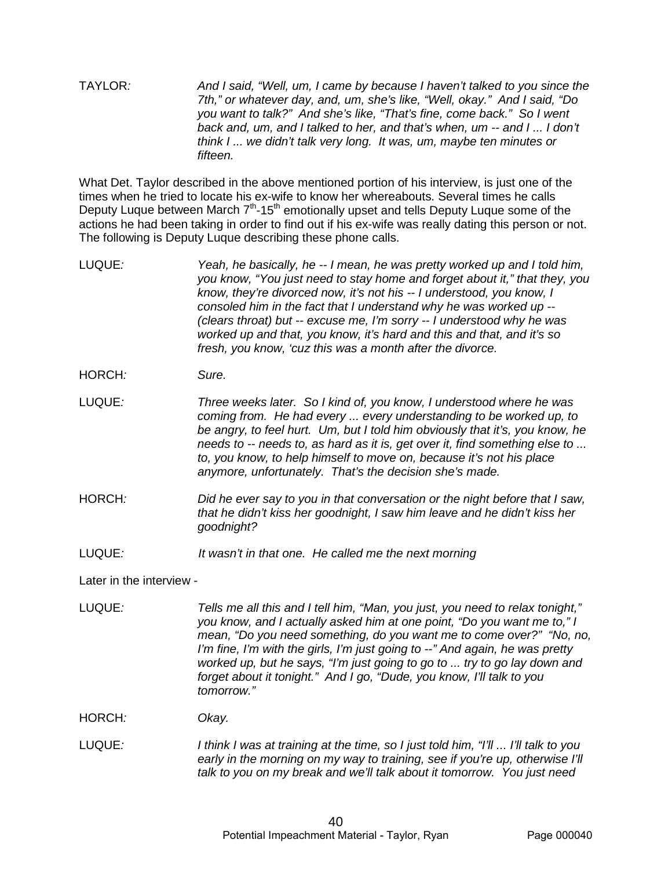TAYLOR*: And I said, "Well, um, I came by because I haven't talked to you since the 7th," or whatever day, and, um, she's like, "Well, okay." And I said, "Do you want to talk?" And she's like, "That's fine, come back." So I went back and, um, and I talked to her, and that's when, um -- and I ... I don't think I ... we didn't talk very long. It was, um, maybe ten minutes or fifteen.*

What Det. Taylor described in the above mentioned portion of his interview, is just one of the times when he tried to locate his ex-wife to know her whereabouts. Several times he calls Deputy Luque between March  $7<sup>th</sup>$ -15<sup>th</sup> emotionally upset and tells Deputy Luque some of the actions he had been taking in order to find out if his ex-wife was really dating this person or not. The following is Deputy Luque describing these phone calls.

LUQUE*: Yeah, he basically, he -- I mean, he was pretty worked up and I told him, you know, "You just need to stay home and forget about it," that they, you know, they're divorced now, it's not his -- I understood, you know, I consoled him in the fact that I understand why he was worked up -- (clears throat) but -- excuse me, I'm sorry -- I understood why he was worked up and that, you know, it's hard and this and that, and it's so fresh, you know, 'cuz this was a month after the divorce.*

HORCH*: Sure.*

LUQUE*: Three weeks later. So I kind of, you know, I understood where he was coming from. He had every ... every understanding to be worked up, to be angry, to feel hurt. Um, but I told him obviously that it's, you know, he needs to -- needs to, as hard as it is, get over it, find something else to ... to, you know, to help himself to move on, because it's not his place anymore, unfortunately. That's the decision she's made.*

- HORCH*: Did he ever say to you in that conversation or the night before that I saw, that he didn't kiss her goodnight, I saw him leave and he didn't kiss her goodnight?*
- LUQUE*: It wasn't in that one. He called me the next morning*

Later in the interview -

LUQUE*: Tells me all this and I tell him, "Man, you just, you need to relax tonight," you know, and I actually asked him at one point, "Do you want me to," I mean, "Do you need something, do you want me to come over?" "No, no, I'm fine, I'm with the girls, I'm just going to --" And again, he was pretty worked up, but he says, "I'm just going to go to ... try to go lay down and forget about it tonight." And I go, "Dude, you know, I'll talk to you tomorrow."*

HORCH*: Okay.* 

LUQUE*: I think I was at training at the time, so I just told him, "I'll ... I'll talk to you early in the morning on my way to training, see if you're up, otherwise I'll talk to you on my break and we'll talk about it tomorrow. You just need*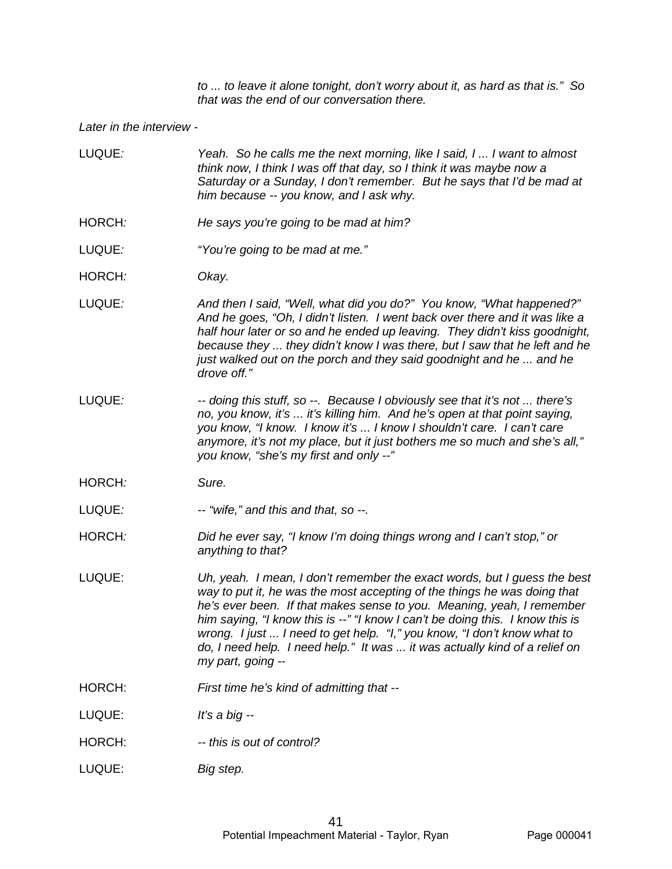*to ... to leave it alone tonight, don't worry about it, as hard as that is." So that was the end of our conversation there.* 

#### *Later in the interview -*

- LUQUE*: Yeah. So he calls me the next morning, like I said, I ... I want to almost think now, I think I was off that day, so I think it was maybe now a Saturday or a Sunday, I don't remember. But he says that I'd be mad at him because -- you know, and I ask why.*
- HORCH*: He says you're going to be mad at him?*
- LUQUE*: "You're going to be mad at me."*
- HORCH*: Okay.*
- LUQUE*: And then I said, "Well, what did you do?" You know, "What happened?" And he goes, "Oh, I didn't listen. I went back over there and it was like a half hour later or so and he ended up leaving. They didn't kiss goodnight, because they ... they didn't know I was there, but I saw that he left and he just walked out on the porch and they said goodnight and he ... and he drove off."*
- LUQUE*: -- doing this stuff, so --. Because I obviously see that it's not ... there's no, you know, it's ... it's killing him. And he's open at that point saying, you know, "I know. I know it's ... I know I shouldn't care. I can't care anymore, it's not my place, but it just bothers me so much and she's all," you know, "she's my first and only --"*
- HORCH*: Sure.*
- LUQUE*: -- "wife," and this and that, so --.*
- HORCH*: Did he ever say, "I know I'm doing things wrong and I can't stop," or anything to that?*
- LUQUE: *Uh, yeah. I mean, I don't remember the exact words, but I guess the best way to put it, he was the most accepting of the things he was doing that he's ever been. If that makes sense to you. Meaning, yeah, I remember him saying, "I know this is --" "I know I can't be doing this. I know this is wrong. I just ... I need to get help. "I," you know, "I don't know what to do, I need help. I need help." It was ... it was actually kind of a relief on my part, going --*
- HORCH: *First time he's kind of admitting that --*
- LUQUE: *It's a big --*
- HORCH: *-- this is out of control?*
- LUQUE: *Big step.*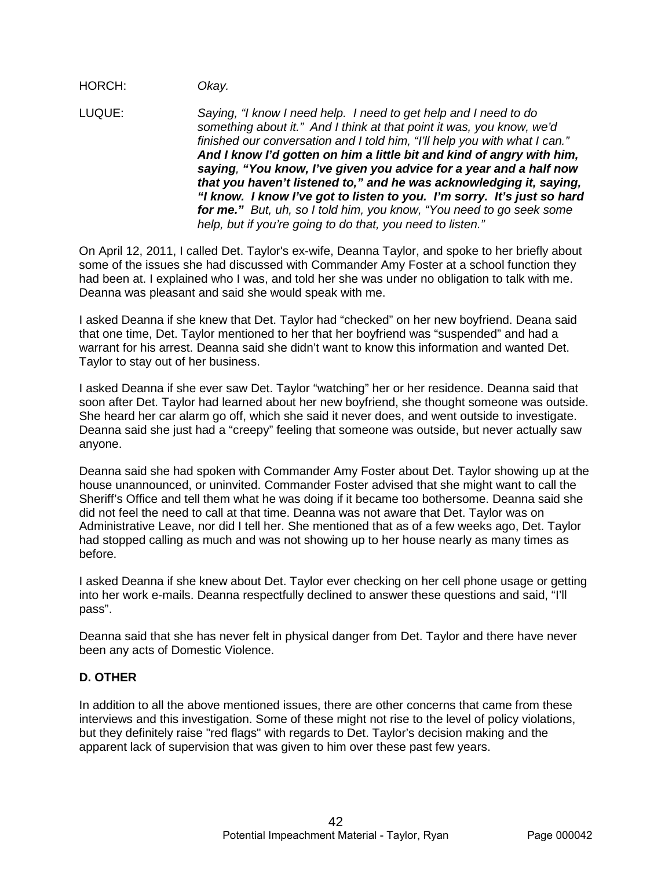## HORCH: *Okay.*

LUQUE: *Saying, "I know I need help. I need to get help and I need to do something about it." And I think at that point it was, you know, we'd finished our conversation and I told him, "I'll help you with what I can." And I know I'd gotten on him a little bit and kind of angry with him, saying, "You know, I've given you advice for a year and a half now that you haven't listened to," and he was acknowledging it, saying, "I know. I know I've got to listen to you. I'm sorry. It's just so hard for me." But, uh, so I told him, you know, "You need to go seek some help, but if you're going to do that, you need to listen."*

On April 12, 2011, I called Det. Taylor's ex-wife, Deanna Taylor, and spoke to her briefly about some of the issues she had discussed with Commander Amy Foster at a school function they had been at. I explained who I was, and told her she was under no obligation to talk with me. Deanna was pleasant and said she would speak with me.

I asked Deanna if she knew that Det. Taylor had "checked" on her new boyfriend. Deana said that one time, Det. Taylor mentioned to her that her boyfriend was "suspended" and had a warrant for his arrest. Deanna said she didn't want to know this information and wanted Det. Taylor to stay out of her business.

I asked Deanna if she ever saw Det. Taylor "watching" her or her residence. Deanna said that soon after Det. Taylor had learned about her new boyfriend, she thought someone was outside. She heard her car alarm go off, which she said it never does, and went outside to investigate. Deanna said she just had a "creepy" feeling that someone was outside, but never actually saw anyone.

Deanna said she had spoken with Commander Amy Foster about Det. Taylor showing up at the house unannounced, or uninvited. Commander Foster advised that she might want to call the Sheriff's Office and tell them what he was doing if it became too bothersome. Deanna said she did not feel the need to call at that time. Deanna was not aware that Det. Taylor was on Administrative Leave, nor did I tell her. She mentioned that as of a few weeks ago, Det. Taylor had stopped calling as much and was not showing up to her house nearly as many times as before.

I asked Deanna if she knew about Det. Taylor ever checking on her cell phone usage or getting into her work e-mails. Deanna respectfully declined to answer these questions and said, "I'll pass".

Deanna said that she has never felt in physical danger from Det. Taylor and there have never been any acts of Domestic Violence.

# **D. OTHER**

In addition to all the above mentioned issues, there are other concerns that came from these interviews and this investigation. Some of these might not rise to the level of policy violations, but they definitely raise "red flags" with regards to Det. Taylor's decision making and the apparent lack of supervision that was given to him over these past few years.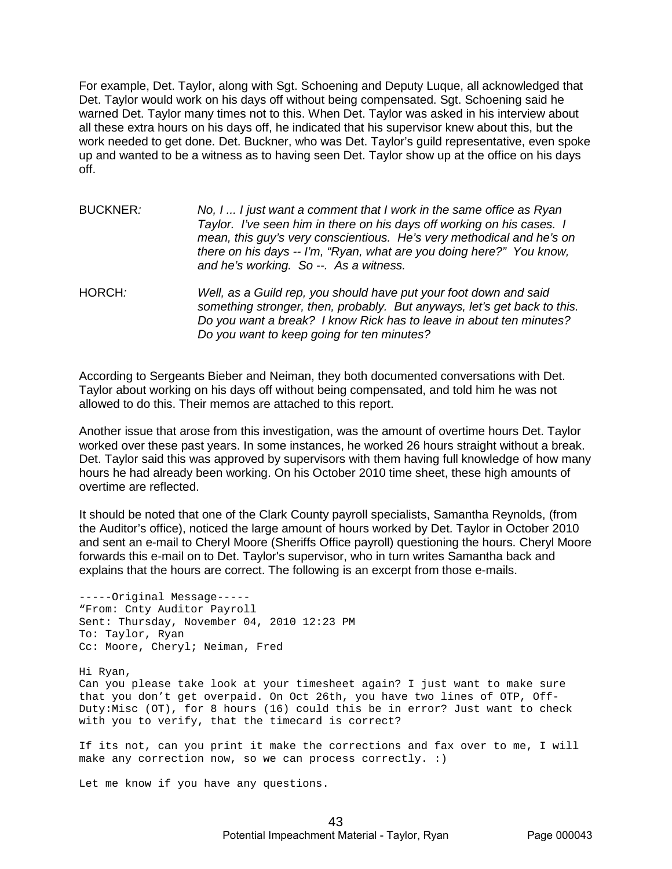For example, Det. Taylor, along with Sgt. Schoening and Deputy Luque, all acknowledged that Det. Taylor would work on his days off without being compensated. Sgt. Schoening said he warned Det. Taylor many times not to this. When Det. Taylor was asked in his interview about all these extra hours on his days off, he indicated that his supervisor knew about this, but the work needed to get done. Det. Buckner, who was Det. Taylor's guild representative, even spoke up and wanted to be a witness as to having seen Det. Taylor show up at the office on his days off.

| <b>BUCKNER:</b> | No, I  I just want a comment that I work in the same office as Ryan<br>Taylor. I've seen him in there on his days off working on his cases. I<br>mean, this guy's very conscientious. He's very methodical and he's on<br>there on his days -- I'm, "Ryan, what are you doing here?" You know,<br>and he's working. So --. As a witness. |
|-----------------|------------------------------------------------------------------------------------------------------------------------------------------------------------------------------------------------------------------------------------------------------------------------------------------------------------------------------------------|
| HORCH:          | Well, as a Guild rep, you should have put your foot down and said                                                                                                                                                                                                                                                                        |

*something stronger, then, probably. But anyways, let's get back to this. Do you want a break? I know Rick has to leave in about ten minutes? Do you want to keep going for ten minutes?*

According to Sergeants Bieber and Neiman, they both documented conversations with Det. Taylor about working on his days off without being compensated, and told him he was not allowed to do this. Their memos are attached to this report.

Another issue that arose from this investigation, was the amount of overtime hours Det. Taylor worked over these past years. In some instances, he worked 26 hours straight without a break. Det. Taylor said this was approved by supervisors with them having full knowledge of how many hours he had already been working. On his October 2010 time sheet, these high amounts of overtime are reflected.

It should be noted that one of the Clark County payroll specialists, Samantha Reynolds, (from the Auditor's office), noticed the large amount of hours worked by Det. Taylor in October 2010 and sent an e-mail to Cheryl Moore (Sheriffs Office payroll) questioning the hours. Cheryl Moore forwards this e-mail on to Det. Taylor's supervisor, who in turn writes Samantha back and explains that the hours are correct. The following is an excerpt from those e-mails.

-----Original Message----- "From: Cnty Auditor Payroll Sent: Thursday, November 04, 2010 12:23 PM To: Taylor, Ryan Cc: Moore, Cheryl; Neiman, Fred

Hi Ryan, Can you please take look at your timesheet again? I just want to make sure that you don't get overpaid. On Oct 26th, you have two lines of OTP, Off-Duty:Misc (OT), for 8 hours (16) could this be in error? Just want to check with you to verify, that the timecard is correct?

If its not, can you print it make the corrections and fax over to me, I will make any correction now, so we can process correctly. :)

Let me know if you have any questions.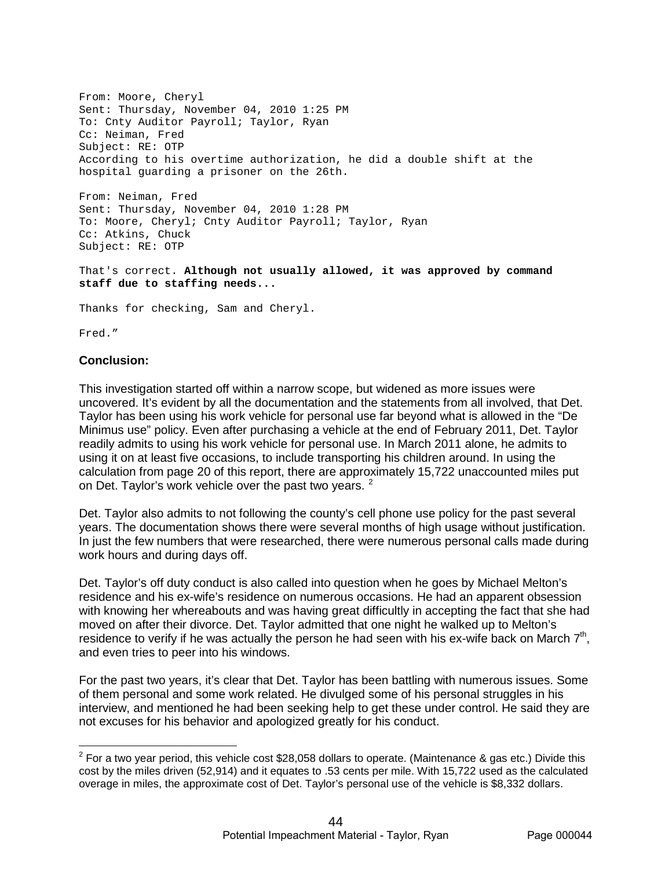From: Moore, Cheryl Sent: Thursday, November 04, 2010 1:25 PM To: Cnty Auditor Payroll; Taylor, Ryan Cc: Neiman, Fred Subject: RE: OTP According to his overtime authorization, he did a double shift at the hospital guarding a prisoner on the 26th.

From: Neiman, Fred Sent: Thursday, November 04, 2010 1:28 PM To: Moore, Cheryl; Cnty Auditor Payroll; Taylor, Ryan Cc: Atkins, Chuck Subject: RE: OTP

That's correct. **Although not usually allowed, it was approved by command staff due to staffing needs...**

Thanks for checking, Sam and Cheryl.

Fred."

#### **Conclusion:**

This investigation started off within a narrow scope, but widened as more issues were uncovered. It's evident by all the documentation and the statements from all involved, that Det. Taylor has been using his work vehicle for personal use far beyond what is allowed in the "De Minimus use" policy. Even after purchasing a vehicle at the end of February 2011, Det. Taylor readily admits to using his work vehicle for personal use. In March 2011 alone, he admits to using it on at least five occasions, to include transporting his children around. In using the calculation from page 20 of this report, there are approximately 15,722 unaccounted miles put on Det. Taylor's work vehicle over the past two years. <sup>2</sup>

Det. Taylor also admits to not following the county's cell phone use policy for the past several years. The documentation shows there were several months of high usage without justification. In just the few numbers that were researched, there were numerous personal calls made during work hours and during days off.

Det. Taylor's off duty conduct is also called into question when he goes by Michael Melton's residence and his ex-wife's residence on numerous occasions. He had an apparent obsession with knowing her whereabouts and was having great difficultly in accepting the fact that she had moved on after their divorce. Det. Taylor admitted that one night he walked up to Melton's residence to verify if he was actually the person he had seen with his ex-wife back on March  $7<sup>th</sup>$ , and even tries to peer into his windows.

For the past two years, it's clear that Det. Taylor has been battling with numerous issues. Some of them personal and some work related. He divulged some of his personal struggles in his interview, and mentioned he had been seeking help to get these under control. He said they are not excuses for his behavior and apologized greatly for his conduct.

 $2$  For a two year period, this vehicle cost \$28,058 dollars to operate. (Maintenance & gas etc.) Divide this cost by the miles driven (52,914) and it equates to .53 cents per mile. With 15,722 used as the calculated overage in miles, the approximate cost of Det. Taylor's personal use of the vehicle is \$8,332 dollars.  $\overline{a}$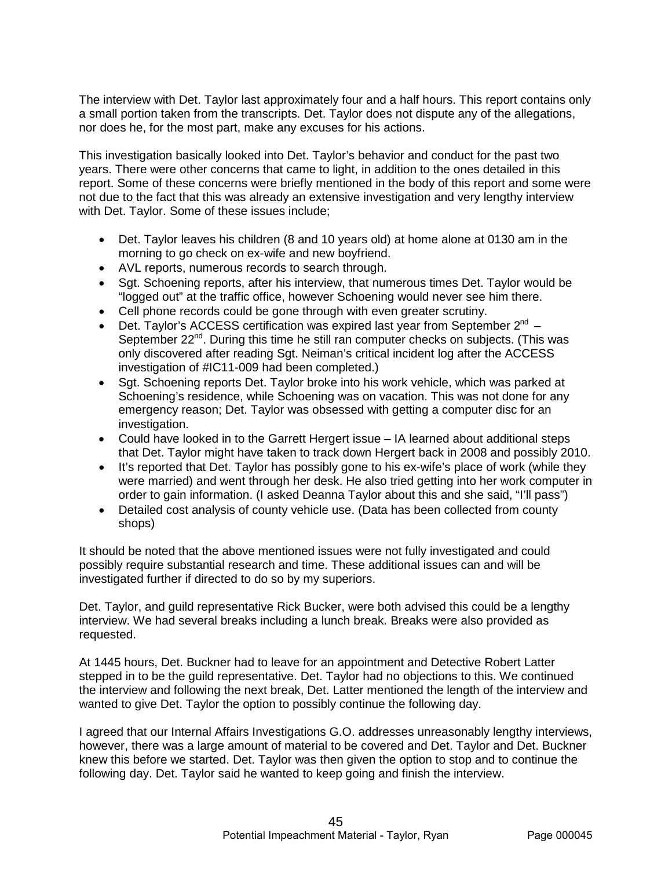The interview with Det. Taylor last approximately four and a half hours. This report contains only a small portion taken from the transcripts. Det. Taylor does not dispute any of the allegations, nor does he, for the most part, make any excuses for his actions.

This investigation basically looked into Det. Taylor's behavior and conduct for the past two years. There were other concerns that came to light, in addition to the ones detailed in this report. Some of these concerns were briefly mentioned in the body of this report and some were not due to the fact that this was already an extensive investigation and very lengthy interview with Det. Taylor. Some of these issues include;

- Det. Taylor leaves his children (8 and 10 years old) at home alone at 0130 am in the morning to go check on ex-wife and new boyfriend.
- AVL reports, numerous records to search through.
- Sgt. Schoening reports, after his interview, that numerous times Det. Taylor would be "logged out" at the traffic office, however Schoening would never see him there.
- Cell phone records could be gone through with even greater scrutiny.
- Det. Taylor's ACCESS certification was expired last year from September  $2^{nd}$  September 22<sup>nd</sup>. During this time he still ran computer checks on subjects. (This was only discovered after reading Sgt. Neiman's critical incident log after the ACCESS investigation of #IC11-009 had been completed.)
- Sgt. Schoening reports Det. Taylor broke into his work vehicle, which was parked at Schoening's residence, while Schoening was on vacation. This was not done for any emergency reason; Det. Taylor was obsessed with getting a computer disc for an investigation.
- Could have looked in to the Garrett Hergert issue IA learned about additional steps that Det. Taylor might have taken to track down Hergert back in 2008 and possibly 2010.
- It's reported that Det. Taylor has possibly gone to his ex-wife's place of work (while they were married) and went through her desk. He also tried getting into her work computer in order to gain information. (I asked Deanna Taylor about this and she said, "I'll pass")
- Detailed cost analysis of county vehicle use. (Data has been collected from county shops)

It should be noted that the above mentioned issues were not fully investigated and could possibly require substantial research and time. These additional issues can and will be investigated further if directed to do so by my superiors.

Det. Taylor, and guild representative Rick Bucker, were both advised this could be a lengthy interview. We had several breaks including a lunch break. Breaks were also provided as requested.

At 1445 hours, Det. Buckner had to leave for an appointment and Detective Robert Latter stepped in to be the guild representative. Det. Taylor had no objections to this. We continued the interview and following the next break, Det. Latter mentioned the length of the interview and wanted to give Det. Taylor the option to possibly continue the following day.

I agreed that our Internal Affairs Investigations G.O. addresses unreasonably lengthy interviews, however, there was a large amount of material to be covered and Det. Taylor and Det. Buckner knew this before we started. Det. Taylor was then given the option to stop and to continue the following day. Det. Taylor said he wanted to keep going and finish the interview.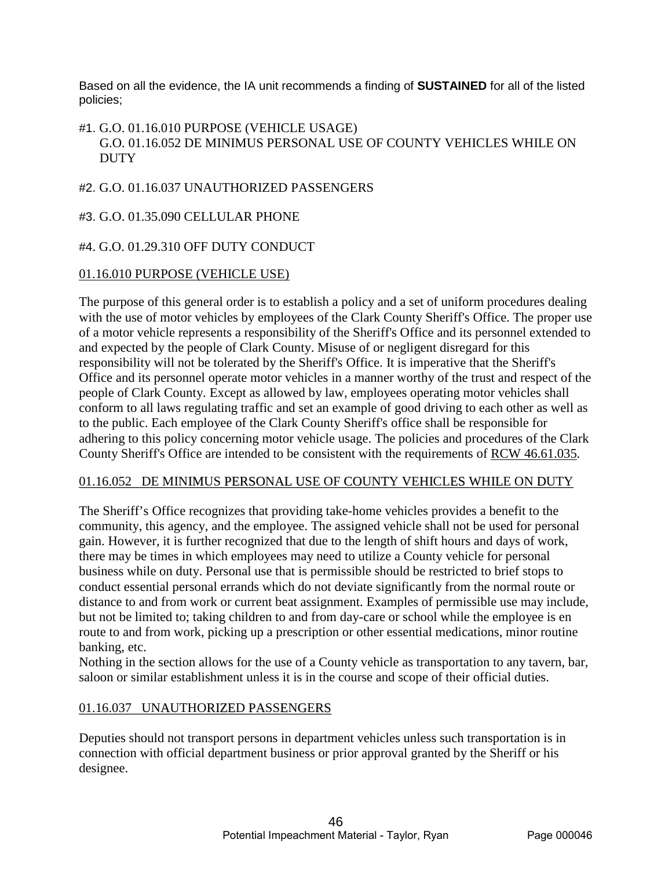Based on all the evidence, the IA unit recommends a finding of **SUSTAINED** for all of the listed policies;

# #1. G.O. 01.16.010 PURPOSE (VEHICLE USAGE) G.O. 01.16.052 DE MINIMUS PERSONAL USE OF COUNTY VEHICLES WHILE ON **DUTY**

# #2. G.O. 01.16.037 UNAUTHORIZED PASSENGERS

#3. G.O. 01.35.090 CELLULAR PHONE

# #4. G.O. 01.29.310 OFF DUTY CONDUCT

# 01.16.010 PURPOSE (VEHICLE USE)

The purpose of this general order is to establish a policy and a set of uniform procedures dealing with the use of motor vehicles by employees of the Clark County Sheriff's Office. The proper use of a motor vehicle represents a responsibility of the Sheriff's Office and its personnel extended to and expected by the people of Clark County. Misuse of or negligent disregard for this responsibility will not be tolerated by the Sheriff's Office. It is imperative that the Sheriff's Office and its personnel operate motor vehicles in a manner worthy of the trust and respect of the people of Clark County. Except as allowed by law, employees operating motor vehicles shall conform to all laws regulating traffic and set an example of good driving to each other as well as to the public. Each employee of the Clark County Sheriff's office shall be responsible for adhering to this policy concerning motor vehicle usage. The policies and procedures of the Clark County Sheriff's Office are intended to be consistent with the requirements of RCW 46.61.035.

# 01.16.052 DE MINIMUS PERSONAL USE OF COUNTY VEHICLES WHILE ON DUTY

The Sheriff's Office recognizes that providing take-home vehicles provides a benefit to the community, this agency, and the employee. The assigned vehicle shall not be used for personal gain. However, it is further recognized that due to the length of shift hours and days of work, there may be times in which employees may need to utilize a County vehicle for personal business while on duty. Personal use that is permissible should be restricted to brief stops to conduct essential personal errands which do not deviate significantly from the normal route or distance to and from work or current beat assignment. Examples of permissible use may include, but not be limited to; taking children to and from day-care or school while the employee is en route to and from work, picking up a prescription or other essential medications, minor routine banking, etc.

Nothing in the section allows for the use of a County vehicle as transportation to any tavern, bar, saloon or similar establishment unless it is in the course and scope of their official duties.

# 01.16.037 UNAUTHORIZED PASSENGERS

Deputies should not transport persons in department vehicles unless such transportation is in connection with official department business or prior approval granted by the Sheriff or his designee.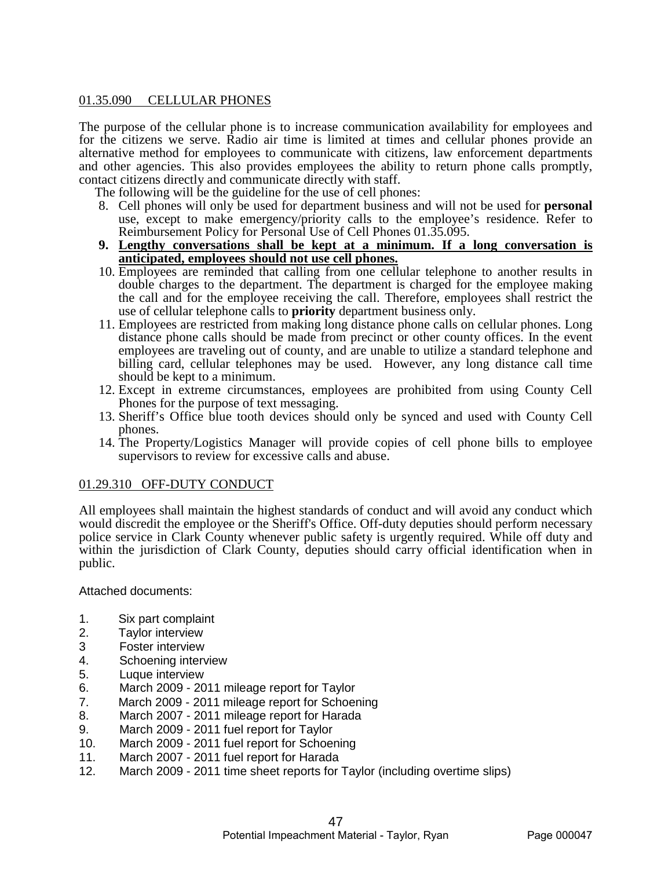# 01.35.090 CELLULAR PHONES

The purpose of the cellular phone is to increase communication availability for employees and for the citizens we serve. Radio air time is limited at times and cellular phones provide an alternative method for employees to communicate with citizens, law enforcement departments and other agencies. This also provides employees the ability to return phone calls promptly, contact citizens directly and communicate directly with staff.

The following will be the guideline for the use of cell phones:

- 8. Cell phones will only be used for department business and will not be used for **personal** use, except to make emergency/priority calls to the employee's residence. Refer to Reimbursement Policy for Personal Use of Cell Phones 01.35.095.
- **9. Lengthy conversations shall be kept at a minimum. If a long conversation is anticipated, employees should not use cell phones.**
- 10. Employees are reminded that calling from one cellular telephone to another results in double charges to the department. The department is charged for the employee making the call and for the employee receiving the call. Therefore, employees shall restrict the use of cellular telephone calls to **priority** department business only.
- 11. Employees are restricted from making long distance phone calls on cellular phones. Long distance phone calls should be made from precinct or other county offices. In the event employees are traveling out of county, and are unable to utilize a standard telephone and billing card, cellular telephones may be used. However, any long distance call time should be kept to a minimum.
- 12. Except in extreme circumstances, employees are prohibited from using County Cell Phones for the purpose of text messaging.
- 13. Sheriff's Office blue tooth devices should only be synced and used with County Cell phones.
- 14. The Property/Logistics Manager will provide copies of cell phone bills to employee supervisors to review for excessive calls and abuse.

#### 01.29.310 OFF-DUTY CONDUCT

All employees shall maintain the highest standards of conduct and will avoid any conduct which would discredit the employee or the Sheriff's Office. Off-duty deputies should perform necessary police service in Clark County whenever public safety is urgently required. While off duty and within the jurisdiction of Clark County, deputies should carry official identification when in public.

Attached documents:

- 1. Six part complaint
- 2. Taylor interview
- 3 Foster interview
- 4. Schoening interview
- 5. Luque interview
- March 2009 2011 mileage report for Taylor
- 7. March 2009 2011 mileage report for Schoening
- 8. March 2007 2011 mileage report for Harada
- 9. March 2009 2011 fuel report for Taylor
- 10. March 2009 2011 fuel report for Schoening
- 11. March 2007 2011 fuel report for Harada
- 12. March 2009 2011 time sheet reports for Taylor (including overtime slips)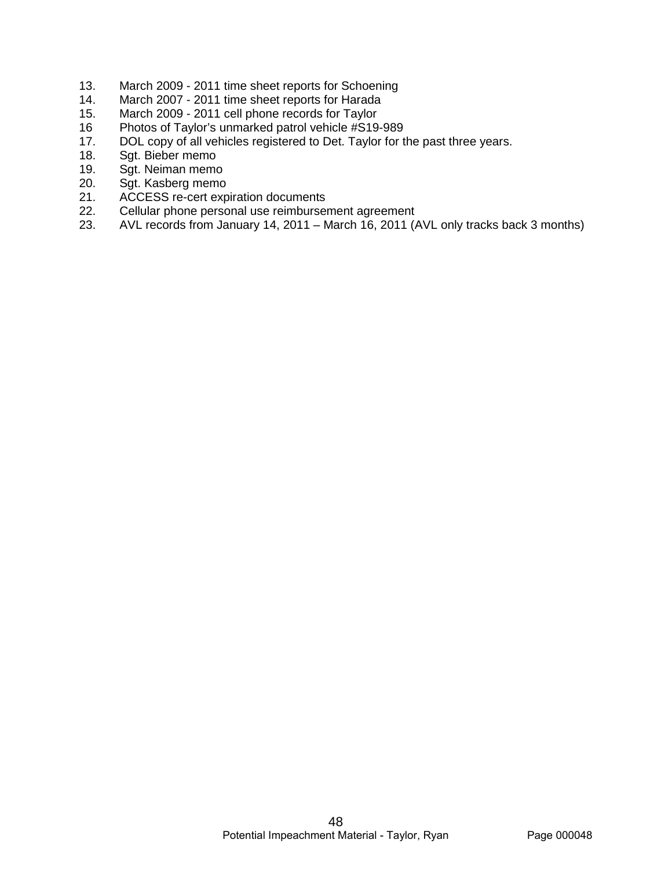- 13. March 2009 2011 time sheet reports for Schoening<br>14. March 2007 2011 time sheet reports for Harada
- March 2007 2011 time sheet reports for Harada
- 15. March 2009 2011 cell phone records for Taylor<br>16 Photos of Taylor's unmarked patrol vehicle #S19
- 16 Photos of Taylor's unmarked patrol vehicle #S19-989<br>17. DOL copy of all vehicles registered to Det. Taylor for the
- DOL copy of all vehicles registered to Det. Taylor for the past three years.
- 18. Sgt. Bieber memo<br>19. Sgt. Neiman memo
- Sgt. Neiman memo
- 20. Sgt. Kasberg memo<br>21. ACCESS re-cert exp
- 21. ACCESS re-cert expiration documents<br>22. Cellular phone personal use reimburser
- 22. Cellular phone personal use reimbursement agreement<br>23. AVL records from January 14, 2011 March 16, 2011 (
- AVL records from January 14, 2011 March 16, 2011 (AVL only tracks back 3 months)